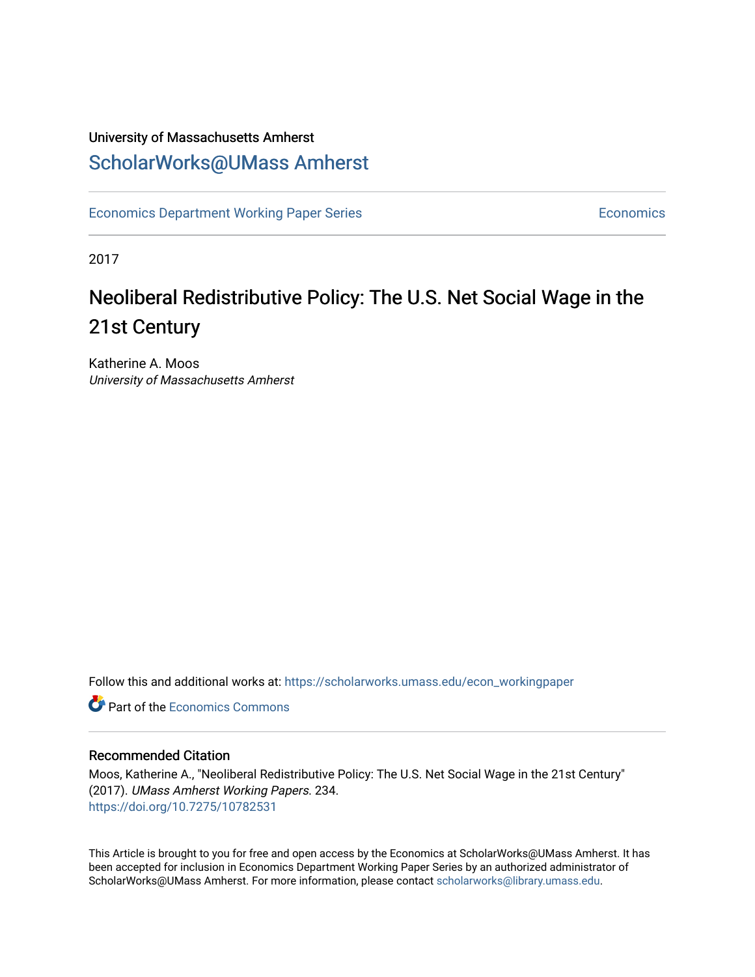# University of Massachusetts Amherst [ScholarWorks@UMass Amherst](https://scholarworks.umass.edu/)

[Economics Department Working Paper Series](https://scholarworks.umass.edu/econ_workingpaper) **Economics** Economics

2017

# Neoliberal Redistributive Policy: The U.S. Net Social Wage in the 21st Century

Katherine A. Moos University of Massachusetts Amherst

Follow this and additional works at: [https://scholarworks.umass.edu/econ\\_workingpaper](https://scholarworks.umass.edu/econ_workingpaper?utm_source=scholarworks.umass.edu%2Fecon_workingpaper%2F234&utm_medium=PDF&utm_campaign=PDFCoverPages) 

**C** Part of the [Economics Commons](http://network.bepress.com/hgg/discipline/340?utm_source=scholarworks.umass.edu%2Fecon_workingpaper%2F234&utm_medium=PDF&utm_campaign=PDFCoverPages)

#### Recommended Citation

Moos, Katherine A., "Neoliberal Redistributive Policy: The U.S. Net Social Wage in the 21st Century" (2017). UMass Amherst Working Papers. 234. <https://doi.org/10.7275/10782531>

This Article is brought to you for free and open access by the Economics at ScholarWorks@UMass Amherst. It has been accepted for inclusion in Economics Department Working Paper Series by an authorized administrator of ScholarWorks@UMass Amherst. For more information, please contact [scholarworks@library.umass.edu.](mailto:scholarworks@library.umass.edu)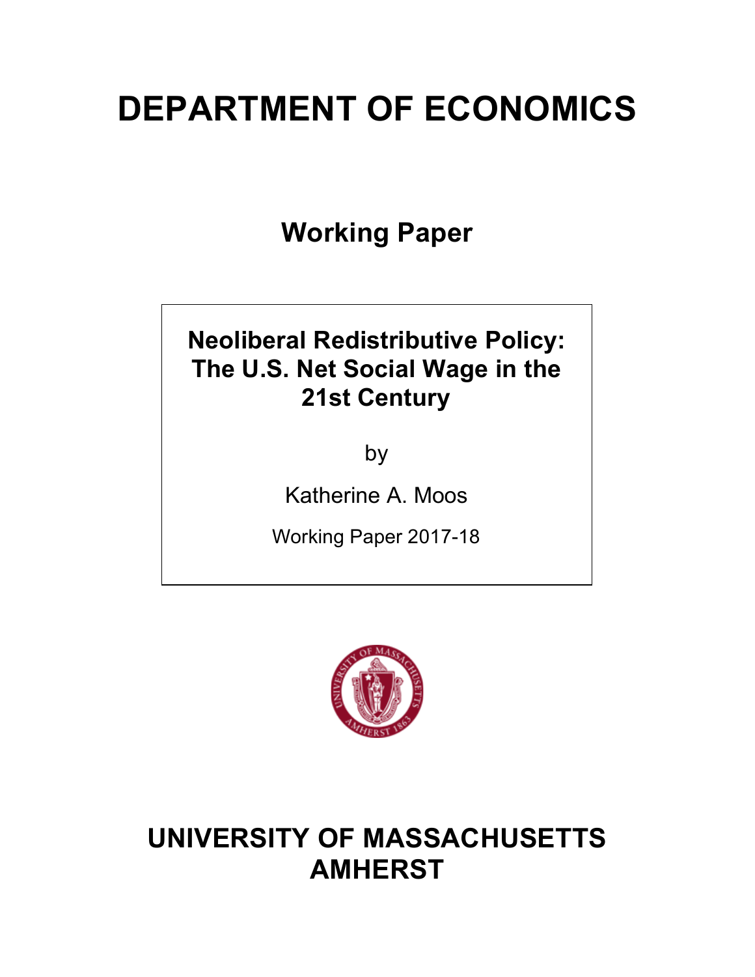# **DEPARTMENT OF ECONOMICS**

**Working Paper**

# **Neoliberal Redistributive Policy: The U.S. Net Social Wage in the 21st Century**

by

Katherine A. Moos

Working Paper 2017-18



# **UNIVERSITY OF MASSACHUSETTS AMHERST**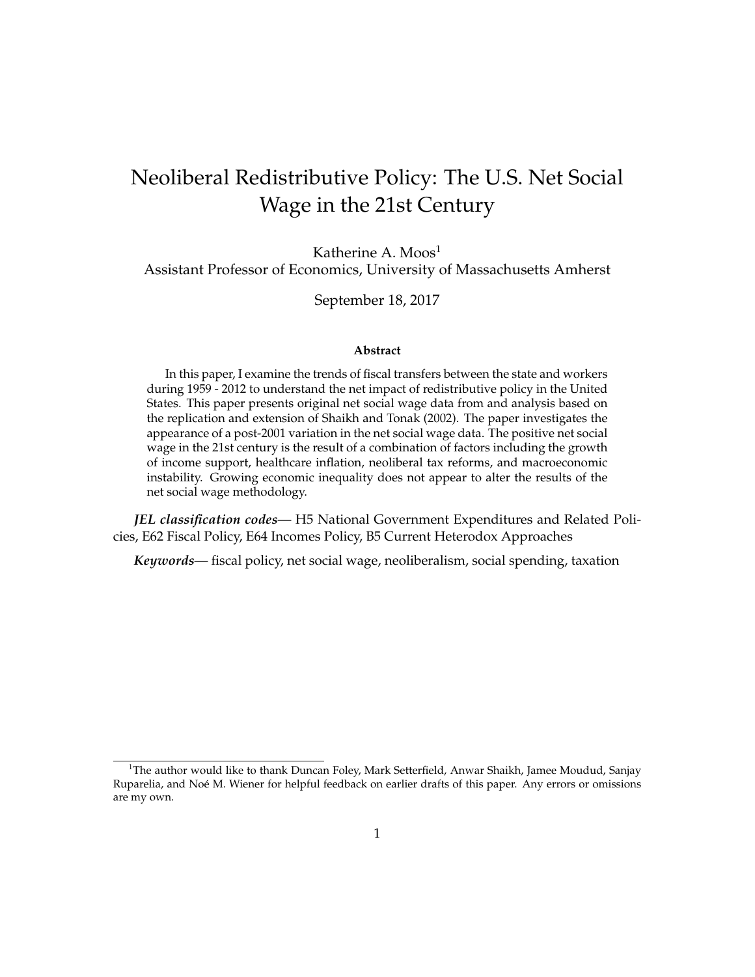# Neoliberal Redistributive Policy: The U.S. Net Social Wage in the 21st Century

Katherine A.  $M$ oos<sup>1</sup>

Assistant Professor of Economics, University of Massachusetts Amherst

September 18, 2017

#### **Abstract**

In this paper, I examine the trends of fiscal transfers between the state and workers during 1959 - 2012 to understand the net impact of redistributive policy in the United States. This paper presents original net social wage data from and analysis based on the replication and extension of Shaikh and Tonak (2002). The paper investigates the appearance of a post-2001 variation in the net social wage data. The positive net social wage in the 21st century is the result of a combination of factors including the growth of income support, healthcare inflation, neoliberal tax reforms, and macroeconomic instability. Growing economic inequality does not appear to alter the results of the net social wage methodology.

*JEL classification codes—* H5 National Government Expenditures and Related Policies, E62 Fiscal Policy, E64 Incomes Policy, B5 Current Heterodox Approaches

*Keywords—* fiscal policy, net social wage, neoliberalism, social spending, taxation

<sup>&</sup>lt;sup>1</sup>The author would like to thank Duncan Foley, Mark Setterfield, Anwar Shaikh, Jamee Moudud, Sanjay Ruparelia, and Noé M. Wiener for helpful feedback on earlier drafts of this paper. Any errors or omissions are my own.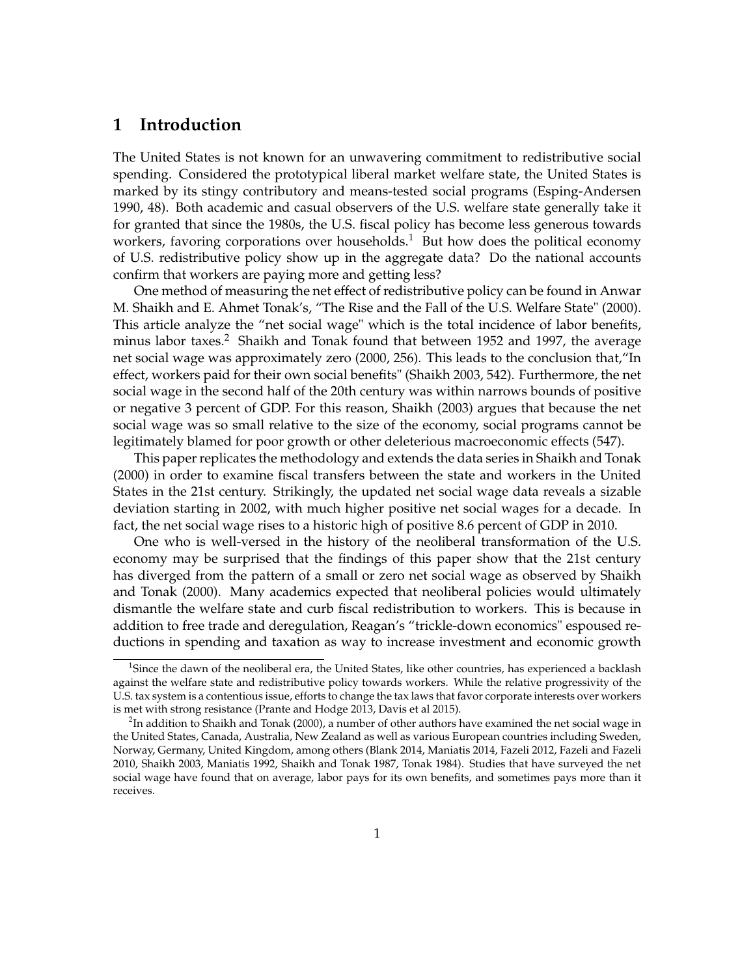# **1 Introduction**

The United States is not known for an unwavering commitment to redistributive social spending. Considered the prototypical liberal market welfare state, the United States is marked by its stingy contributory and means-tested social programs (Esping-Andersen 1990, 48). Both academic and casual observers of the U.S. welfare state generally take it for granted that since the 1980s, the U.S. fiscal policy has become less generous towards workers, favoring corporations over households.<sup>1</sup> But how does the political economy of U.S. redistributive policy show up in the aggregate data? Do the national accounts confirm that workers are paying more and getting less?

One method of measuring the net effect of redistributive policy can be found in Anwar M. Shaikh and E. Ahmet Tonak's, "The Rise and the Fall of the U.S. Welfare State" (2000). This article analyze the "net social wage" which is the total incidence of labor benefits, minus labor taxes.<sup>2</sup> Shaikh and Tonak found that between 1952 and 1997, the average net social wage was approximately zero (2000, 256). This leads to the conclusion that,"In effect, workers paid for their own social benefits" (Shaikh 2003, 542). Furthermore, the net social wage in the second half of the 20th century was within narrows bounds of positive or negative 3 percent of GDP. For this reason, Shaikh (2003) argues that because the net social wage was so small relative to the size of the economy, social programs cannot be legitimately blamed for poor growth or other deleterious macroeconomic effects (547).

This paper replicates the methodology and extends the data series in Shaikh and Tonak (2000) in order to examine fiscal transfers between the state and workers in the United States in the 21st century. Strikingly, the updated net social wage data reveals a sizable deviation starting in 2002, with much higher positive net social wages for a decade. In fact, the net social wage rises to a historic high of positive 8.6 percent of GDP in 2010.

One who is well-versed in the history of the neoliberal transformation of the U.S. economy may be surprised that the findings of this paper show that the 21st century has diverged from the pattern of a small or zero net social wage as observed by Shaikh and Tonak (2000). Many academics expected that neoliberal policies would ultimately dismantle the welfare state and curb fiscal redistribution to workers. This is because in addition to free trade and deregulation, Reagan's "trickle-down economics" espoused reductions in spending and taxation as way to increase investment and economic growth

<sup>&</sup>lt;sup>1</sup>Since the dawn of the neoliberal era, the United States, like other countries, has experienced a backlash against the welfare state and redistributive policy towards workers. While the relative progressivity of the U.S. tax system is a contentious issue, efforts to change the tax laws that favor corporate interests over workers is met with strong resistance (Prante and Hodge 2013, Davis et al 2015).

 $^2$ In addition to Shaikh and Tonak (2000), a number of other authors have examined the net social wage in the United States, Canada, Australia, New Zealand as well as various European countries including Sweden, Norway, Germany, United Kingdom, among others (Blank 2014, Maniatis 2014, Fazeli 2012, Fazeli and Fazeli 2010, Shaikh 2003, Maniatis 1992, Shaikh and Tonak 1987, Tonak 1984). Studies that have surveyed the net social wage have found that on average, labor pays for its own benefits, and sometimes pays more than it receives.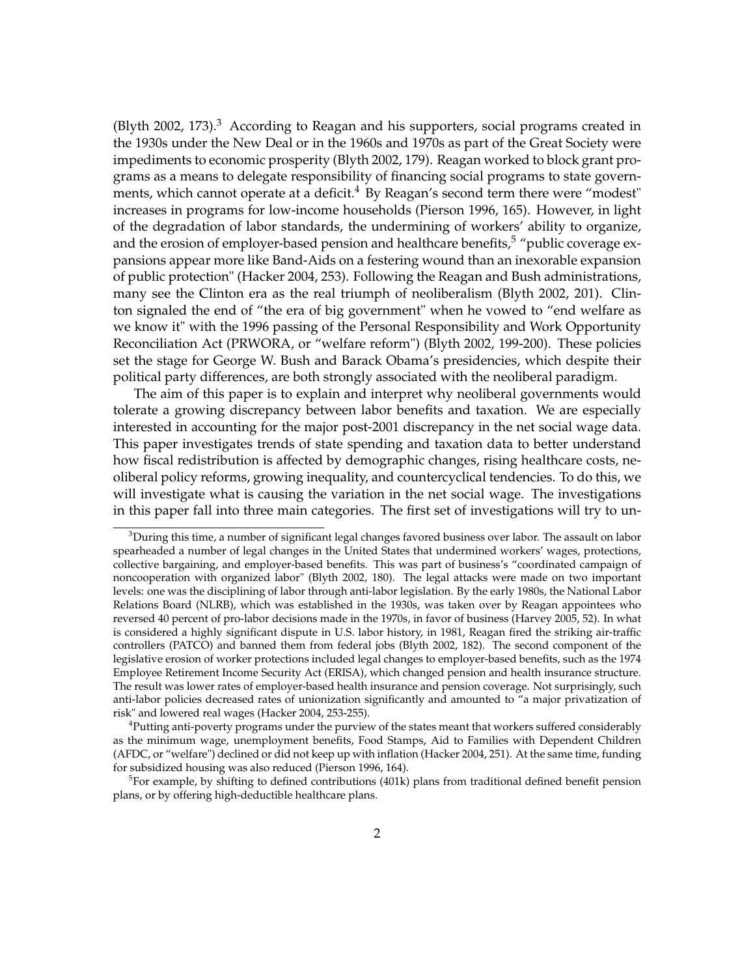(Blyth 2002, 173). $3$  According to Reagan and his supporters, social programs created in the 1930s under the New Deal or in the 1960s and 1970s as part of the Great Society were impediments to economic prosperity (Blyth 2002, 179). Reagan worked to block grant programs as a means to delegate responsibility of financing social programs to state governments, which cannot operate at a deficit.<sup>4</sup> By Reagan's second term there were "modest" increases in programs for low-income households (Pierson 1996, 165). However, in light of the degradation of labor standards, the undermining of workers' ability to organize, and the erosion of employer-based pension and healthcare benefits, $5$  "public coverage expansions appear more like Band-Aids on a festering wound than an inexorable expansion of public protection" (Hacker 2004, 253). Following the Reagan and Bush administrations, many see the Clinton era as the real triumph of neoliberalism (Blyth 2002, 201). Clinton signaled the end of "the era of big government" when he vowed to "end welfare as we know it" with the 1996 passing of the Personal Responsibility and Work Opportunity Reconciliation Act (PRWORA, or "welfare reform") (Blyth 2002, 199-200). These policies set the stage for George W. Bush and Barack Obama's presidencies, which despite their political party differences, are both strongly associated with the neoliberal paradigm.

The aim of this paper is to explain and interpret why neoliberal governments would tolerate a growing discrepancy between labor benefits and taxation. We are especially interested in accounting for the major post-2001 discrepancy in the net social wage data. This paper investigates trends of state spending and taxation data to better understand how fiscal redistribution is affected by demographic changes, rising healthcare costs, neoliberal policy reforms, growing inequality, and countercyclical tendencies. To do this, we will investigate what is causing the variation in the net social wage. The investigations in this paper fall into three main categories. The first set of investigations will try to un-

 $3$ During this time, a number of significant legal changes favored business over labor. The assault on labor spearheaded a number of legal changes in the United States that undermined workers' wages, protections, collective bargaining, and employer-based benefits. This was part of business's "coordinated campaign of noncooperation with organized labor" (Blyth 2002, 180). The legal attacks were made on two important levels: one was the disciplining of labor through anti-labor legislation. By the early 1980s, the National Labor Relations Board (NLRB), which was established in the 1930s, was taken over by Reagan appointees who reversed 40 percent of pro-labor decisions made in the 1970s, in favor of business (Harvey 2005, 52). In what is considered a highly significant dispute in U.S. labor history, in 1981, Reagan fired the striking air-traffic controllers (PATCO) and banned them from federal jobs (Blyth 2002, 182). The second component of the legislative erosion of worker protections included legal changes to employer-based benefits, such as the 1974 Employee Retirement Income Security Act (ERISA), which changed pension and health insurance structure. The result was lower rates of employer-based health insurance and pension coverage. Not surprisingly, such anti-labor policies decreased rates of unionization significantly and amounted to "a major privatization of risk" and lowered real wages (Hacker 2004, 253-255).

<sup>&</sup>lt;sup>4</sup>Putting anti-poverty programs under the purview of the states meant that workers suffered considerably as the minimum wage, unemployment benefits, Food Stamps, Aid to Families with Dependent Children (AFDC, or "welfare") declined or did not keep up with inflation (Hacker 2004, 251). At the same time, funding for subsidized housing was also reduced (Pierson 1996, 164).

<sup>&</sup>lt;sup>5</sup>For example, by shifting to defined contributions (401k) plans from traditional defined benefit pension plans, or by offering high-deductible healthcare plans.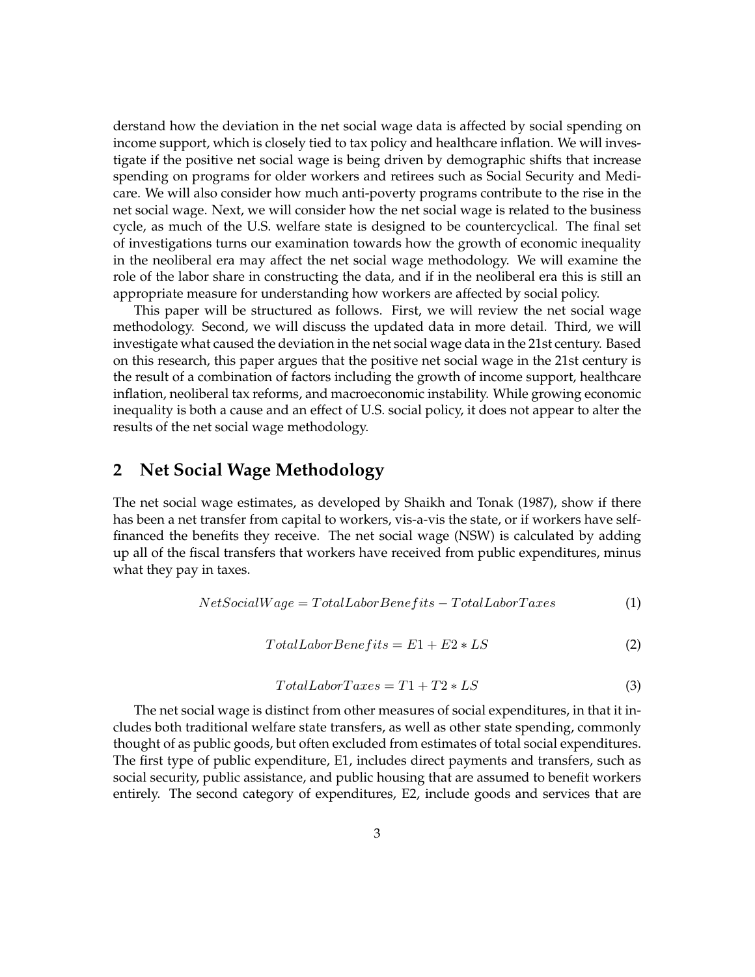derstand how the deviation in the net social wage data is affected by social spending on income support, which is closely tied to tax policy and healthcare inflation. We will investigate if the positive net social wage is being driven by demographic shifts that increase spending on programs for older workers and retirees such as Social Security and Medicare. We will also consider how much anti-poverty programs contribute to the rise in the net social wage. Next, we will consider how the net social wage is related to the business cycle, as much of the U.S. welfare state is designed to be countercyclical. The final set of investigations turns our examination towards how the growth of economic inequality in the neoliberal era may affect the net social wage methodology. We will examine the role of the labor share in constructing the data, and if in the neoliberal era this is still an appropriate measure for understanding how workers are affected by social policy.

This paper will be structured as follows. First, we will review the net social wage methodology. Second, we will discuss the updated data in more detail. Third, we will investigate what caused the deviation in the net social wage data in the 21st century. Based on this research, this paper argues that the positive net social wage in the 21st century is the result of a combination of factors including the growth of income support, healthcare inflation, neoliberal tax reforms, and macroeconomic instability. While growing economic inequality is both a cause and an effect of U.S. social policy, it does not appear to alter the results of the net social wage methodology.

### **2 Net Social Wage Methodology**

The net social wage estimates, as developed by Shaikh and Tonak (1987), show if there has been a net transfer from capital to workers, vis-a-vis the state, or if workers have selffinanced the benefits they receive. The net social wage (NSW) is calculated by adding up all of the fiscal transfers that workers have received from public expenditures, minus what they pay in taxes.

$$
Net SocialWage = Total LaboratoryBene fits - Total LaboratoryTaxes \qquad (1)
$$

$$
Total LaborBenefits = E1 + E2 * LS \tag{2}
$$

$$
Total LaboratoryTaxes = T1 + T2 * LS \tag{3}
$$

The net social wage is distinct from other measures of social expenditures, in that it includes both traditional welfare state transfers, as well as other state spending, commonly thought of as public goods, but often excluded from estimates of total social expenditures. The first type of public expenditure, E1, includes direct payments and transfers, such as social security, public assistance, and public housing that are assumed to benefit workers entirely. The second category of expenditures, E2, include goods and services that are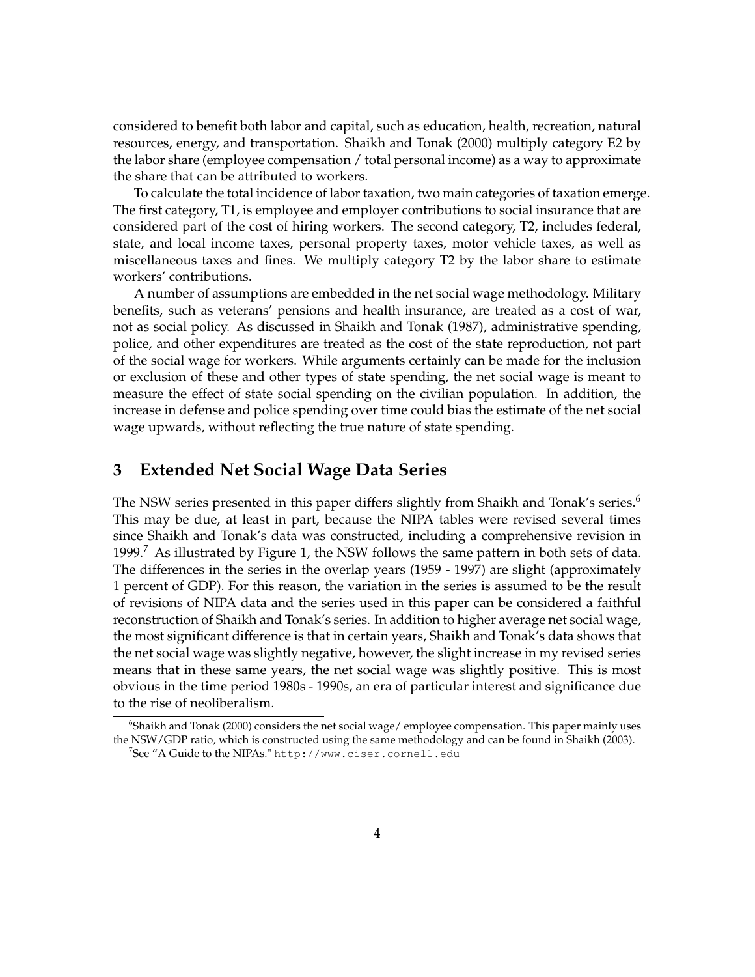considered to benefit both labor and capital, such as education, health, recreation, natural resources, energy, and transportation. Shaikh and Tonak (2000) multiply category E2 by the labor share (employee compensation / total personal income) as a way to approximate the share that can be attributed to workers.

To calculate the total incidence of labor taxation, two main categories of taxation emerge. The first category, T1, is employee and employer contributions to social insurance that are considered part of the cost of hiring workers. The second category, T2, includes federal, state, and local income taxes, personal property taxes, motor vehicle taxes, as well as miscellaneous taxes and fines. We multiply category T2 by the labor share to estimate workers' contributions.

A number of assumptions are embedded in the net social wage methodology. Military benefits, such as veterans' pensions and health insurance, are treated as a cost of war, not as social policy. As discussed in Shaikh and Tonak (1987), administrative spending, police, and other expenditures are treated as the cost of the state reproduction, not part of the social wage for workers. While arguments certainly can be made for the inclusion or exclusion of these and other types of state spending, the net social wage is meant to measure the effect of state social spending on the civilian population. In addition, the increase in defense and police spending over time could bias the estimate of the net social wage upwards, without reflecting the true nature of state spending.

# **3 Extended Net Social Wage Data Series**

The NSW series presented in this paper differs slightly from Shaikh and Tonak's series.<sup>6</sup> This may be due, at least in part, because the NIPA tables were revised several times since Shaikh and Tonak's data was constructed, including a comprehensive revision in 1999.<sup>7</sup> As illustrated by Figure 1, the NSW follows the same pattern in both sets of data. The differences in the series in the overlap years (1959 - 1997) are slight (approximately 1 percent of GDP). For this reason, the variation in the series is assumed to be the result of revisions of NIPA data and the series used in this paper can be considered a faithful reconstruction of Shaikh and Tonak's series. In addition to higher average net social wage, the most significant difference is that in certain years, Shaikh and Tonak's data shows that the net social wage was slightly negative, however, the slight increase in my revised series means that in these same years, the net social wage was slightly positive. This is most obvious in the time period 1980s - 1990s, an era of particular interest and significance due to the rise of neoliberalism.

<sup>6</sup> Shaikh and Tonak (2000) considers the net social wage/ employee compensation. This paper mainly uses the NSW/GDP ratio, which is constructed using the same methodology and can be found in Shaikh (2003).

 $^{7}$ See "A Guide to the NIPAs." <code>http://www.ciser.cornell.edu</code>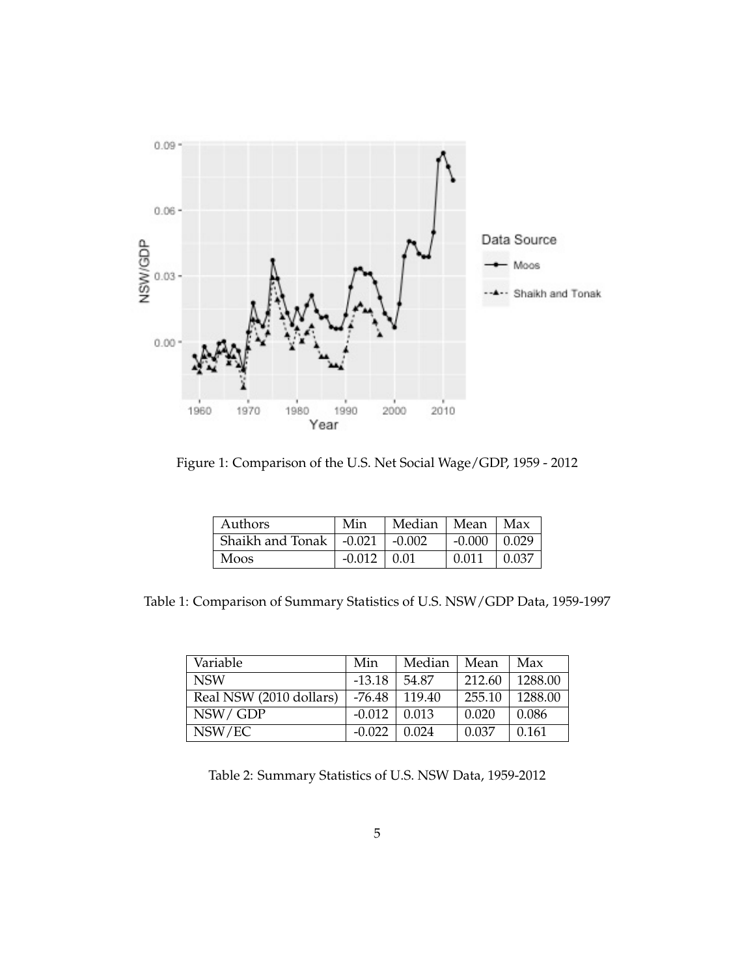

Figure 1: Comparison of the U.S. Net Social Wage/GDP, 1959 - 2012

| Authors                                        | Min               | Median   Mean   Max |                  |               |
|------------------------------------------------|-------------------|---------------------|------------------|---------------|
| Shaikh and Tonak $\vert$ -0.021 $\vert$ -0.002 |                   |                     | $-0.000$   0.029 |               |
| Moos                                           | $-0.012 \pm 0.01$ |                     | 0.011            | $\vert$ 0.037 |

Table 1: Comparison of Summary Statistics of U.S. NSW/GDP Data, 1959-1997

| Variable                | Min      | Median | Mean   | Max     |
|-------------------------|----------|--------|--------|---------|
| <b>NSW</b>              | $-13.18$ | 54.87  | 212.60 | 1288.00 |
| Real NSW (2010 dollars) | -76.48   | 119.40 | 255.10 | 1288.00 |
| NSW/GDP                 | $-0.012$ | 0.013  | 0.020  | 0.086   |
| NSW/EC                  | $-0.022$ | 0.024  | 0.037  | 0.161   |

Table 2: Summary Statistics of U.S. NSW Data, 1959-2012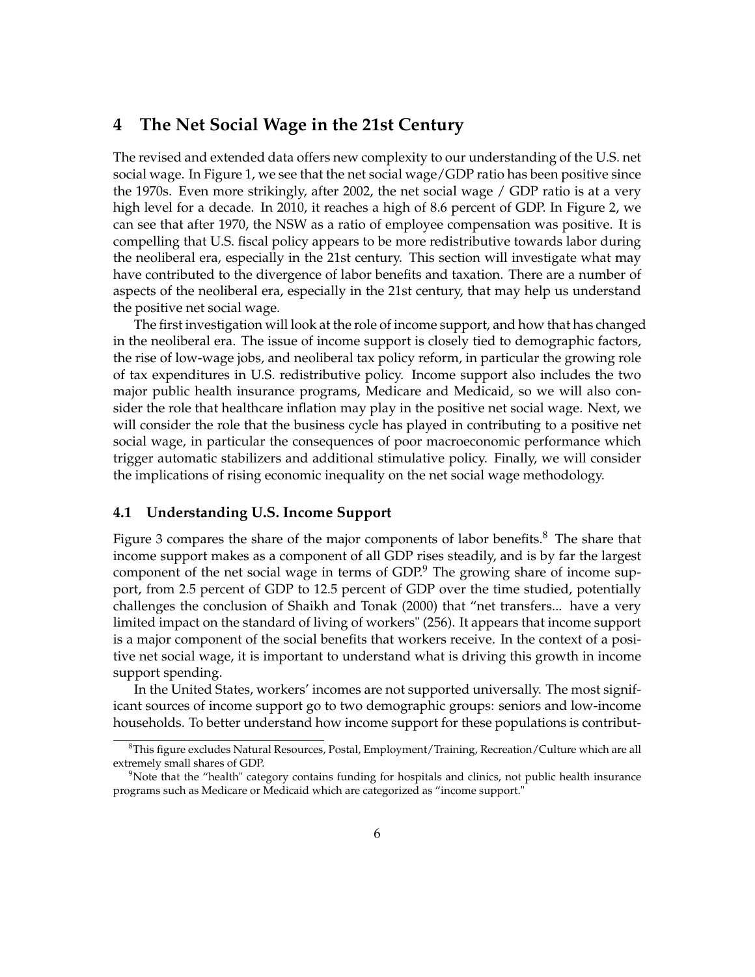### **4 The Net Social Wage in the 21st Century**

The revised and extended data offers new complexity to our understanding of the U.S. net social wage. In Figure 1, we see that the net social wage/GDP ratio has been positive since the 1970s. Even more strikingly, after 2002, the net social wage / GDP ratio is at a very high level for a decade. In 2010, it reaches a high of 8.6 percent of GDP. In Figure 2, we can see that after 1970, the NSW as a ratio of employee compensation was positive. It is compelling that U.S. fiscal policy appears to be more redistributive towards labor during the neoliberal era, especially in the 21st century. This section will investigate what may have contributed to the divergence of labor benefits and taxation. There are a number of aspects of the neoliberal era, especially in the 21st century, that may help us understand the positive net social wage.

The first investigation will look at the role of income support, and how that has changed in the neoliberal era. The issue of income support is closely tied to demographic factors, the rise of low-wage jobs, and neoliberal tax policy reform, in particular the growing role of tax expenditures in U.S. redistributive policy. Income support also includes the two major public health insurance programs, Medicare and Medicaid, so we will also consider the role that healthcare inflation may play in the positive net social wage. Next, we will consider the role that the business cycle has played in contributing to a positive net social wage, in particular the consequences of poor macroeconomic performance which trigger automatic stabilizers and additional stimulative policy. Finally, we will consider the implications of rising economic inequality on the net social wage methodology.

#### **4.1 Understanding U.S. Income Support**

Figure 3 compares the share of the major components of labor benefits.<sup>8</sup> The share that income support makes as a component of all GDP rises steadily, and is by far the largest component of the net social wage in terms of  $GDP<sup>9</sup>$  The growing share of income support, from 2.5 percent of GDP to 12.5 percent of GDP over the time studied, potentially challenges the conclusion of Shaikh and Tonak (2000) that "net transfers... have a very limited impact on the standard of living of workers" (256). It appears that income support is a major component of the social benefits that workers receive. In the context of a positive net social wage, it is important to understand what is driving this growth in income support spending.

In the United States, workers' incomes are not supported universally. The most significant sources of income support go to two demographic groups: seniors and low-income households. To better understand how income support for these populations is contribut-

<sup>8</sup> This figure excludes Natural Resources, Postal, Employment/Training, Recreation/Culture which are all extremely small shares of GDP.

<sup>&</sup>lt;sup>9</sup>Note that the "health" category contains funding for hospitals and clinics, not public health insurance programs such as Medicare or Medicaid which are categorized as "income support."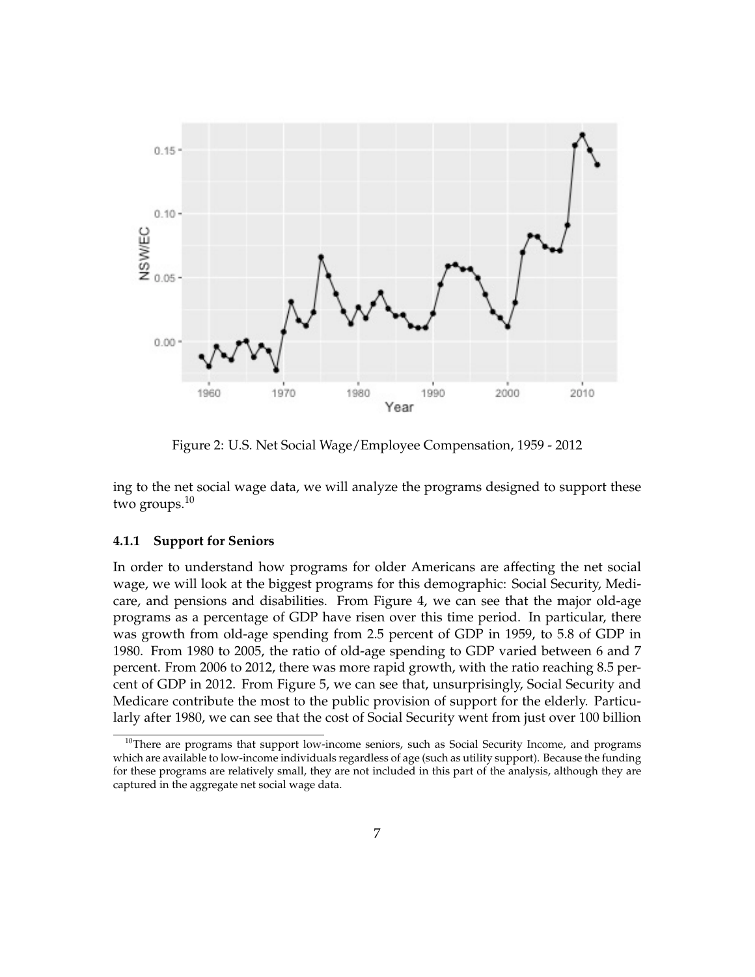

Figure 2: U.S. Net Social Wage/Employee Compensation, 1959 - 2012

ing to the net social wage data, we will analyze the programs designed to support these two groups.<sup>10</sup>

#### **4.1.1 Support for Seniors**

In order to understand how programs for older Americans are affecting the net social wage, we will look at the biggest programs for this demographic: Social Security, Medicare, and pensions and disabilities. From Figure 4, we can see that the major old-age programs as a percentage of GDP have risen over this time period. In particular, there was growth from old-age spending from 2.5 percent of GDP in 1959, to 5.8 of GDP in 1980. From 1980 to 2005, the ratio of old-age spending to GDP varied between 6 and 7 percent. From 2006 to 2012, there was more rapid growth, with the ratio reaching 8.5 percent of GDP in 2012. From Figure 5, we can see that, unsurprisingly, Social Security and Medicare contribute the most to the public provision of support for the elderly. Particularly after 1980, we can see that the cost of Social Security went from just over 100 billion

<sup>&</sup>lt;sup>10</sup>There are programs that support low-income seniors, such as Social Security Income, and programs which are available to low-income individuals regardless of age (such as utility support). Because the funding for these programs are relatively small, they are not included in this part of the analysis, although they are captured in the aggregate net social wage data.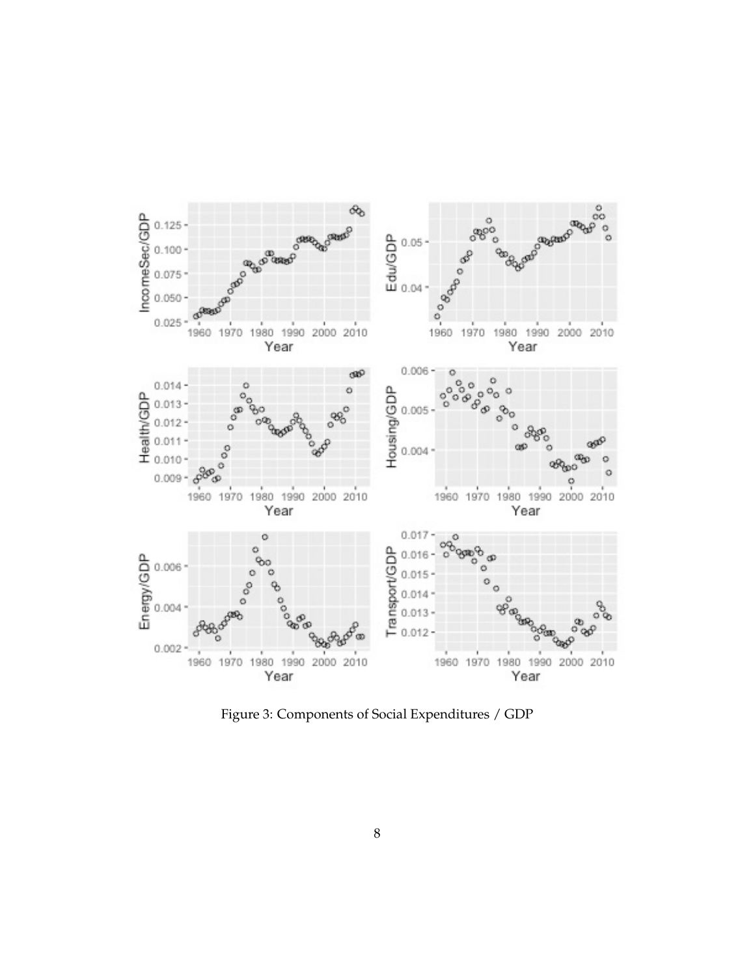

Figure 3: Components of Social Expenditures / GDP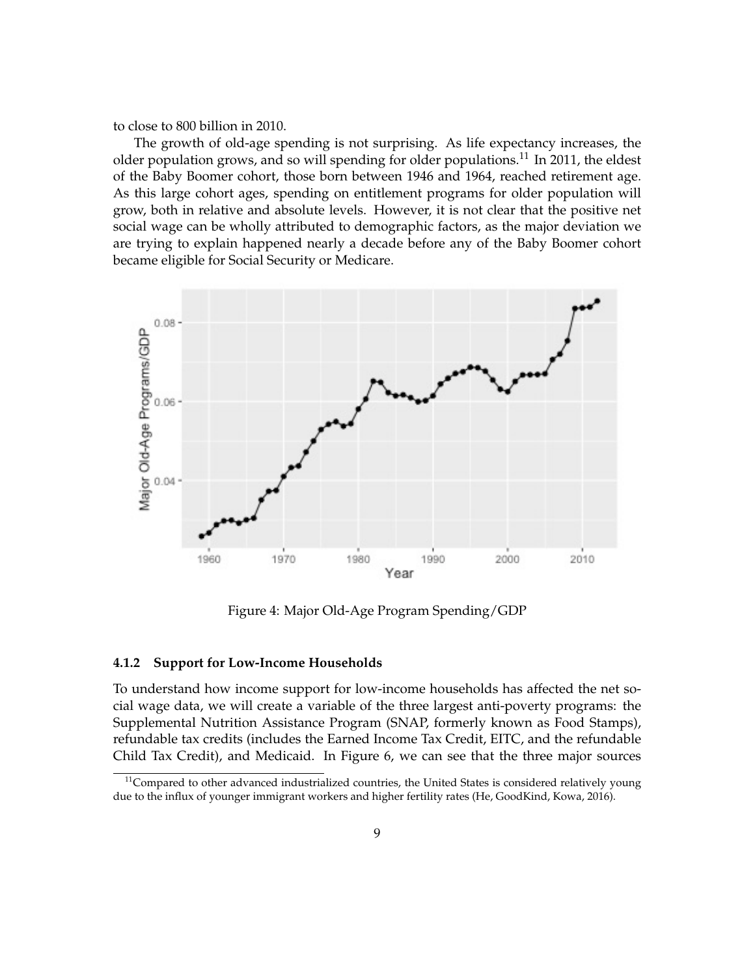to close to 800 billion in 2010.

The growth of old-age spending is not surprising. As life expectancy increases, the older population grows, and so will spending for older populations.<sup>11</sup> In 2011, the eldest of the Baby Boomer cohort, those born between 1946 and 1964, reached retirement age. As this large cohort ages, spending on entitlement programs for older population will grow, both in relative and absolute levels. However, it is not clear that the positive net social wage can be wholly attributed to demographic factors, as the major deviation we are trying to explain happened nearly a decade before any of the Baby Boomer cohort became eligible for Social Security or Medicare.



Figure 4: Major Old-Age Program Spending/GDP

#### **4.1.2 Support for Low-Income Households**

To understand how income support for low-income households has affected the net social wage data, we will create a variable of the three largest anti-poverty programs: the Supplemental Nutrition Assistance Program (SNAP, formerly known as Food Stamps), refundable tax credits (includes the Earned Income Tax Credit, EITC, and the refundable Child Tax Credit), and Medicaid. In Figure 6, we can see that the three major sources

 $11$ Compared to other advanced industrialized countries, the United States is considered relatively young due to the influx of younger immigrant workers and higher fertility rates (He, GoodKind, Kowa, 2016).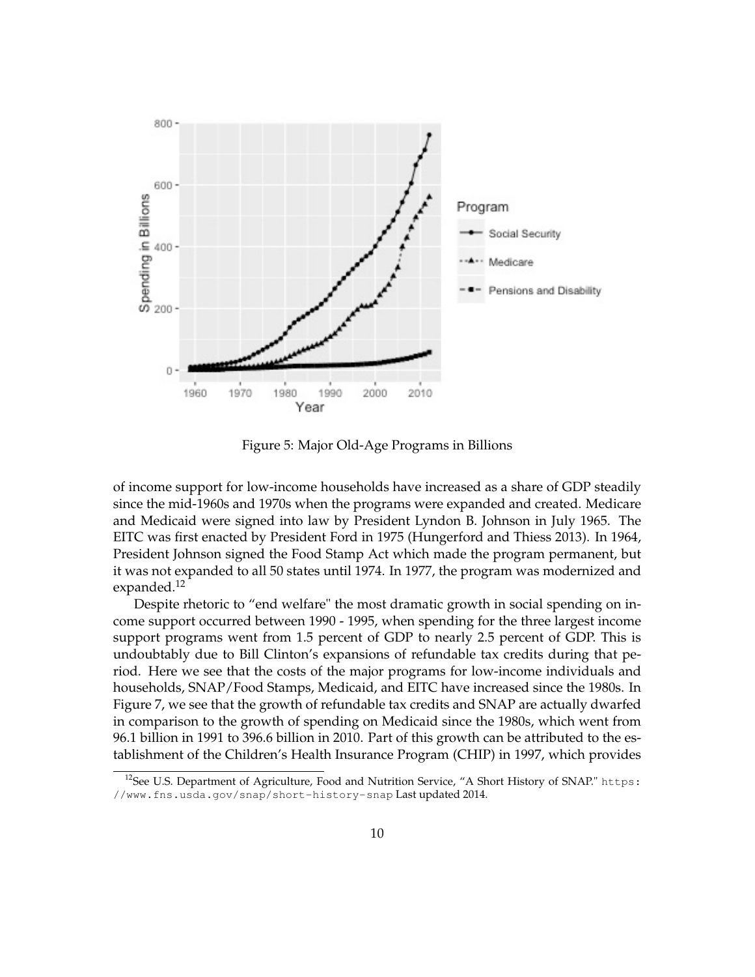

Figure 5: Major Old-Age Programs in Billions

of income support for low-income households have increased as a share of GDP steadily since the mid-1960s and 1970s when the programs were expanded and created. Medicare and Medicaid were signed into law by President Lyndon B. Johnson in July 1965. The EITC was first enacted by President Ford in 1975 (Hungerford and Thiess 2013). In 1964, President Johnson signed the Food Stamp Act which made the program permanent, but it was not expanded to all 50 states until 1974. In 1977, the program was modernized and expanded.<sup>12</sup>

Despite rhetoric to "end welfare" the most dramatic growth in social spending on income support occurred between 1990 - 1995, when spending for the three largest income support programs went from 1.5 percent of GDP to nearly 2.5 percent of GDP. This is undoubtably due to Bill Clinton's expansions of refundable tax credits during that period. Here we see that the costs of the major programs for low-income individuals and households, SNAP/Food Stamps, Medicaid, and EITC have increased since the 1980s. In Figure 7, we see that the growth of refundable tax credits and SNAP are actually dwarfed in comparison to the growth of spending on Medicaid since the 1980s, which went from 96.1 billion in 1991 to 396.6 billion in 2010. Part of this growth can be attributed to the establishment of the Children's Health Insurance Program (CHIP) in 1997, which provides

<sup>&</sup>lt;sup>12</sup>See U.S. Department of Agriculture, Food and Nutrition Service, "A Short History of SNAP." https: //www.fns.usda.gov/snap/short-history-snap Last updated 2014.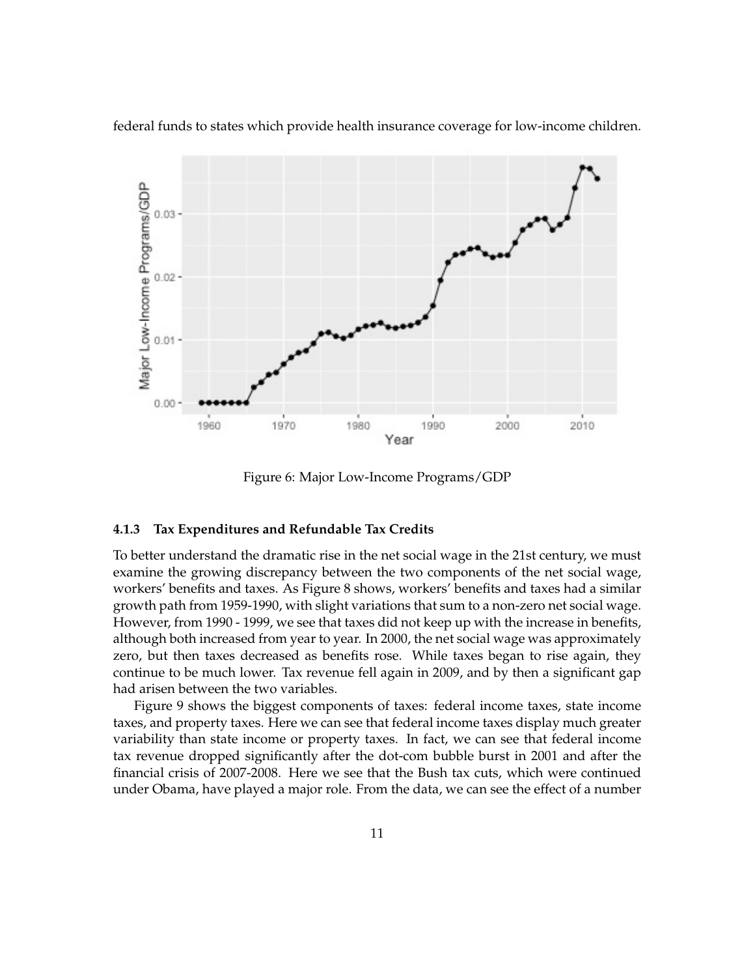

federal funds to states which provide health insurance coverage for low-income children.

Figure 6: Major Low-Income Programs/GDP

#### **4.1.3 Tax Expenditures and Refundable Tax Credits**

To better understand the dramatic rise in the net social wage in the 21st century, we must examine the growing discrepancy between the two components of the net social wage, workers' benefits and taxes. As Figure 8 shows, workers' benefits and taxes had a similar growth path from 1959-1990, with slight variations that sum to a non-zero net social wage. However, from 1990 - 1999, we see that taxes did not keep up with the increase in benefits, although both increased from year to year. In 2000, the net social wage was approximately zero, but then taxes decreased as benefits rose. While taxes began to rise again, they continue to be much lower. Tax revenue fell again in 2009, and by then a significant gap had arisen between the two variables.

Figure 9 shows the biggest components of taxes: federal income taxes, state income taxes, and property taxes. Here we can see that federal income taxes display much greater variability than state income or property taxes. In fact, we can see that federal income tax revenue dropped significantly after the dot-com bubble burst in 2001 and after the financial crisis of 2007-2008. Here we see that the Bush tax cuts, which were continued under Obama, have played a major role. From the data, we can see the effect of a number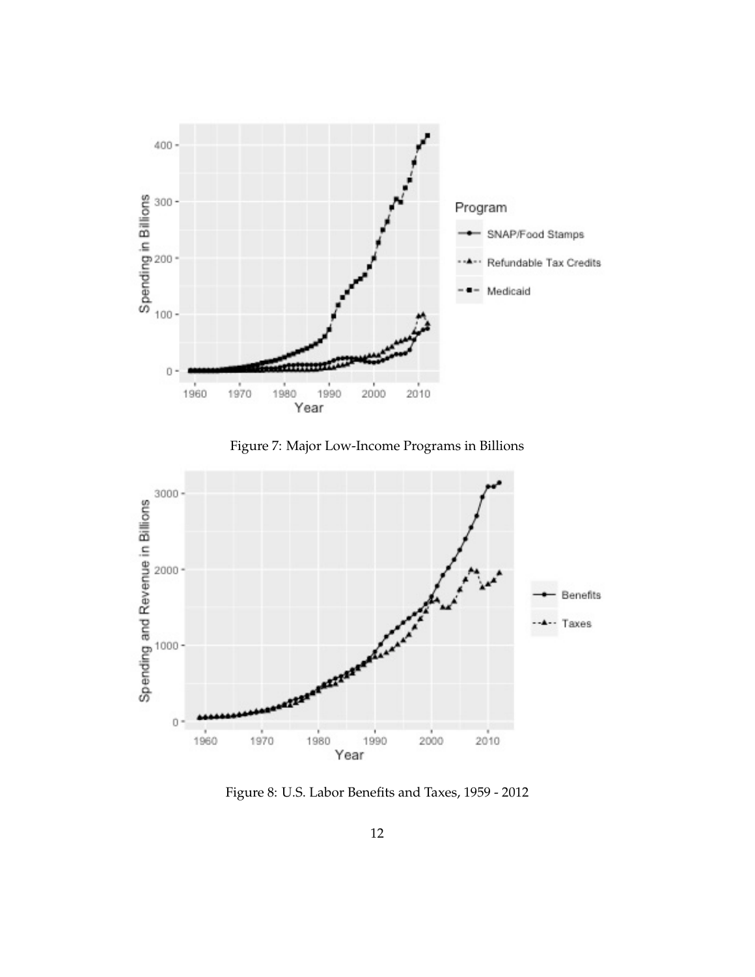

Figure 7: Major Low-Income Programs in Billions



Figure 8: U.S. Labor Benefits and Taxes, 1959 - 2012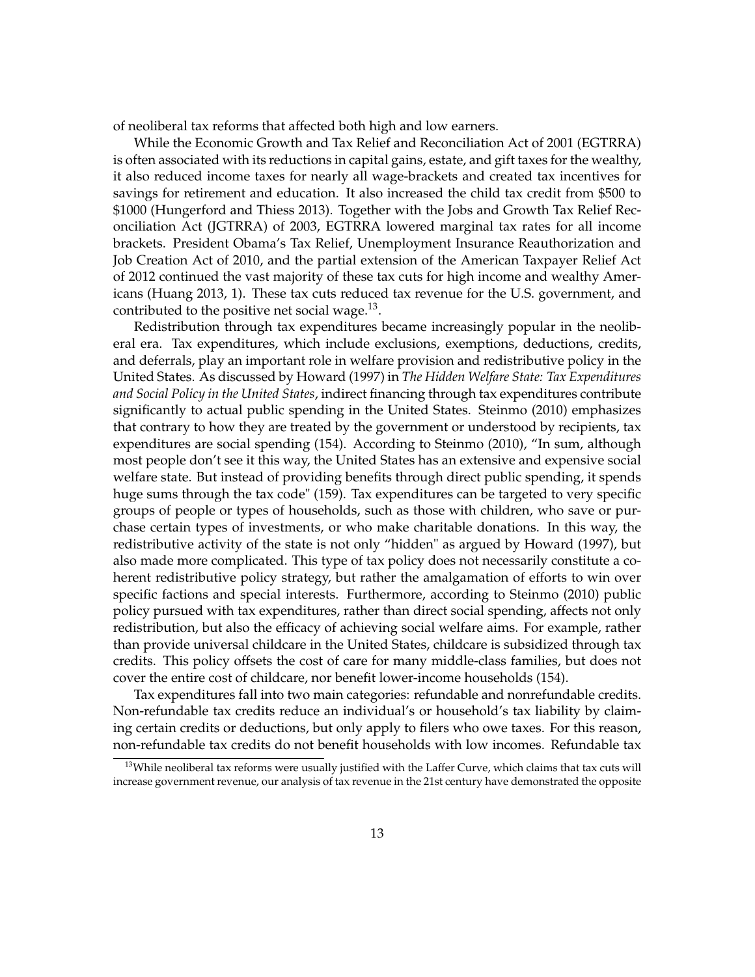of neoliberal tax reforms that affected both high and low earners.

While the Economic Growth and Tax Relief and Reconciliation Act of 2001 (EGTRRA) is often associated with its reductions in capital gains, estate, and gift taxes for the wealthy, it also reduced income taxes for nearly all wage-brackets and created tax incentives for savings for retirement and education. It also increased the child tax credit from \$500 to \$1000 (Hungerford and Thiess 2013). Together with the Jobs and Growth Tax Relief Reconciliation Act (JGTRRA) of 2003, EGTRRA lowered marginal tax rates for all income brackets. President Obama's Tax Relief, Unemployment Insurance Reauthorization and Job Creation Act of 2010, and the partial extension of the American Taxpayer Relief Act of 2012 continued the vast majority of these tax cuts for high income and wealthy Americans (Huang 2013, 1). These tax cuts reduced tax revenue for the U.S. government, and contributed to the positive net social wage. $13$ .

Redistribution through tax expenditures became increasingly popular in the neoliberal era. Tax expenditures, which include exclusions, exemptions, deductions, credits, and deferrals, play an important role in welfare provision and redistributive policy in the United States. As discussed by Howard (1997) in *The Hidden Welfare State: Tax Expenditures and Social Policy in the United States*, indirect financing through tax expenditures contribute significantly to actual public spending in the United States. Steinmo (2010) emphasizes that contrary to how they are treated by the government or understood by recipients, tax expenditures are social spending (154). According to Steinmo (2010), "In sum, although most people don't see it this way, the United States has an extensive and expensive social welfare state. But instead of providing benefits through direct public spending, it spends huge sums through the tax code" (159). Tax expenditures can be targeted to very specific groups of people or types of households, such as those with children, who save or purchase certain types of investments, or who make charitable donations. In this way, the redistributive activity of the state is not only "hidden" as argued by Howard (1997), but also made more complicated. This type of tax policy does not necessarily constitute a coherent redistributive policy strategy, but rather the amalgamation of efforts to win over specific factions and special interests. Furthermore, according to Steinmo (2010) public policy pursued with tax expenditures, rather than direct social spending, affects not only redistribution, but also the efficacy of achieving social welfare aims. For example, rather than provide universal childcare in the United States, childcare is subsidized through tax credits. This policy offsets the cost of care for many middle-class families, but does not cover the entire cost of childcare, nor benefit lower-income households (154).

Tax expenditures fall into two main categories: refundable and nonrefundable credits. Non-refundable tax credits reduce an individual's or household's tax liability by claiming certain credits or deductions, but only apply to filers who owe taxes. For this reason, non-refundable tax credits do not benefit households with low incomes. Refundable tax

<sup>&</sup>lt;sup>13</sup>While neoliberal tax reforms were usually justified with the Laffer Curve, which claims that tax cuts will increase government revenue, our analysis of tax revenue in the 21st century have demonstrated the opposite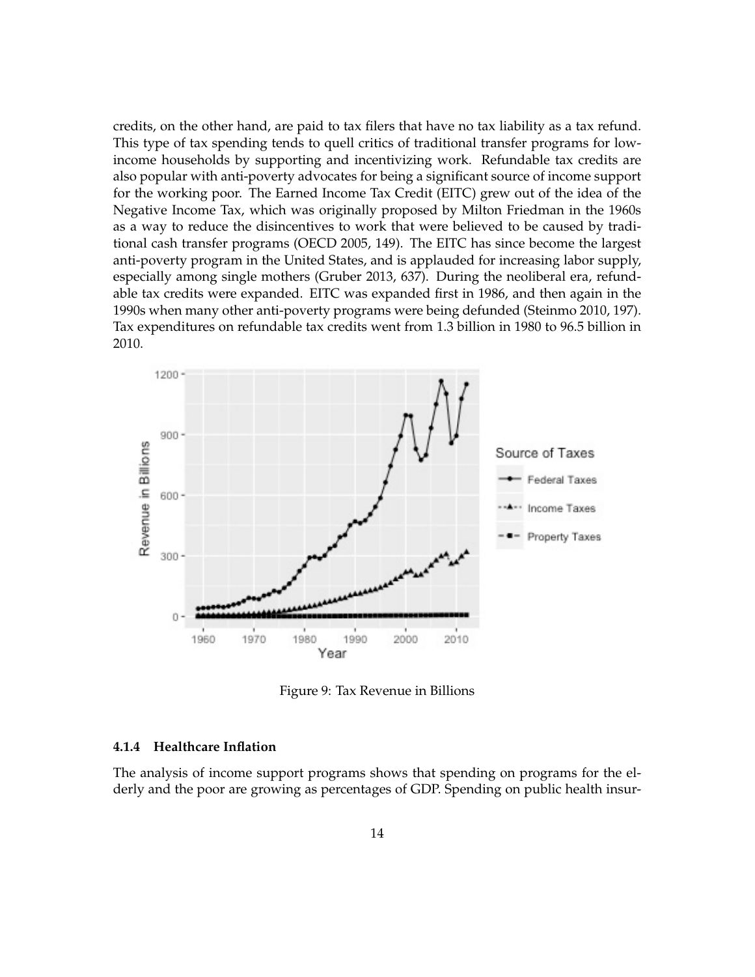credits, on the other hand, are paid to tax filers that have no tax liability as a tax refund. This type of tax spending tends to quell critics of traditional transfer programs for lowincome households by supporting and incentivizing work. Refundable tax credits are also popular with anti-poverty advocates for being a significant source of income support for the working poor. The Earned Income Tax Credit (EITC) grew out of the idea of the Negative Income Tax, which was originally proposed by Milton Friedman in the 1960s as a way to reduce the disincentives to work that were believed to be caused by traditional cash transfer programs (OECD 2005, 149). The EITC has since become the largest anti-poverty program in the United States, and is applauded for increasing labor supply, especially among single mothers (Gruber 2013, 637). During the neoliberal era, refundable tax credits were expanded. EITC was expanded first in 1986, and then again in the 1990s when many other anti-poverty programs were being defunded (Steinmo 2010, 197). Tax expenditures on refundable tax credits went from 1.3 billion in 1980 to 96.5 billion in 2010.



Figure 9: Tax Revenue in Billions

#### **4.1.4 Healthcare Inflation**

The analysis of income support programs shows that spending on programs for the elderly and the poor are growing as percentages of GDP. Spending on public health insur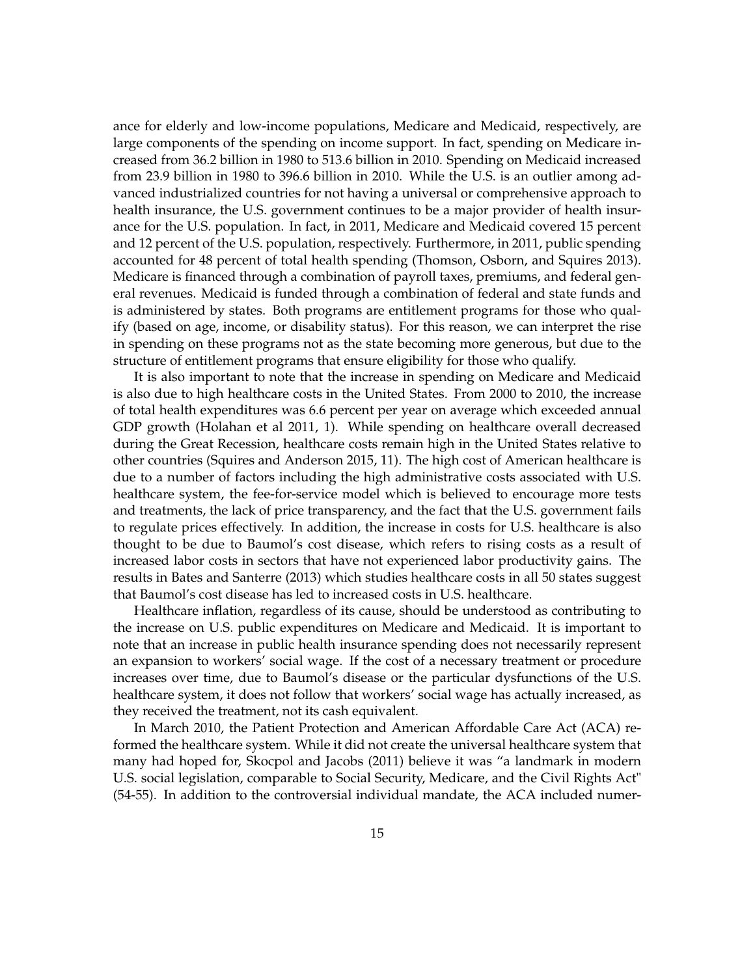ance for elderly and low-income populations, Medicare and Medicaid, respectively, are large components of the spending on income support. In fact, spending on Medicare increased from 36.2 billion in 1980 to 513.6 billion in 2010. Spending on Medicaid increased from 23.9 billion in 1980 to 396.6 billion in 2010. While the U.S. is an outlier among advanced industrialized countries for not having a universal or comprehensive approach to health insurance, the U.S. government continues to be a major provider of health insurance for the U.S. population. In fact, in 2011, Medicare and Medicaid covered 15 percent and 12 percent of the U.S. population, respectively. Furthermore, in 2011, public spending accounted for 48 percent of total health spending (Thomson, Osborn, and Squires 2013). Medicare is financed through a combination of payroll taxes, premiums, and federal general revenues. Medicaid is funded through a combination of federal and state funds and is administered by states. Both programs are entitlement programs for those who qualify (based on age, income, or disability status). For this reason, we can interpret the rise in spending on these programs not as the state becoming more generous, but due to the structure of entitlement programs that ensure eligibility for those who qualify.

It is also important to note that the increase in spending on Medicare and Medicaid is also due to high healthcare costs in the United States. From 2000 to 2010, the increase of total health expenditures was 6.6 percent per year on average which exceeded annual GDP growth (Holahan et al 2011, 1). While spending on healthcare overall decreased during the Great Recession, healthcare costs remain high in the United States relative to other countries (Squires and Anderson 2015, 11). The high cost of American healthcare is due to a number of factors including the high administrative costs associated with U.S. healthcare system, the fee-for-service model which is believed to encourage more tests and treatments, the lack of price transparency, and the fact that the U.S. government fails to regulate prices effectively. In addition, the increase in costs for U.S. healthcare is also thought to be due to Baumol's cost disease, which refers to rising costs as a result of increased labor costs in sectors that have not experienced labor productivity gains. The results in Bates and Santerre (2013) which studies healthcare costs in all 50 states suggest that Baumol's cost disease has led to increased costs in U.S. healthcare.

Healthcare inflation, regardless of its cause, should be understood as contributing to the increase on U.S. public expenditures on Medicare and Medicaid. It is important to note that an increase in public health insurance spending does not necessarily represent an expansion to workers' social wage. If the cost of a necessary treatment or procedure increases over time, due to Baumol's disease or the particular dysfunctions of the U.S. healthcare system, it does not follow that workers' social wage has actually increased, as they received the treatment, not its cash equivalent.

In March 2010, the Patient Protection and American Affordable Care Act (ACA) reformed the healthcare system. While it did not create the universal healthcare system that many had hoped for, Skocpol and Jacobs (2011) believe it was "a landmark in modern U.S. social legislation, comparable to Social Security, Medicare, and the Civil Rights Act" (54-55). In addition to the controversial individual mandate, the ACA included numer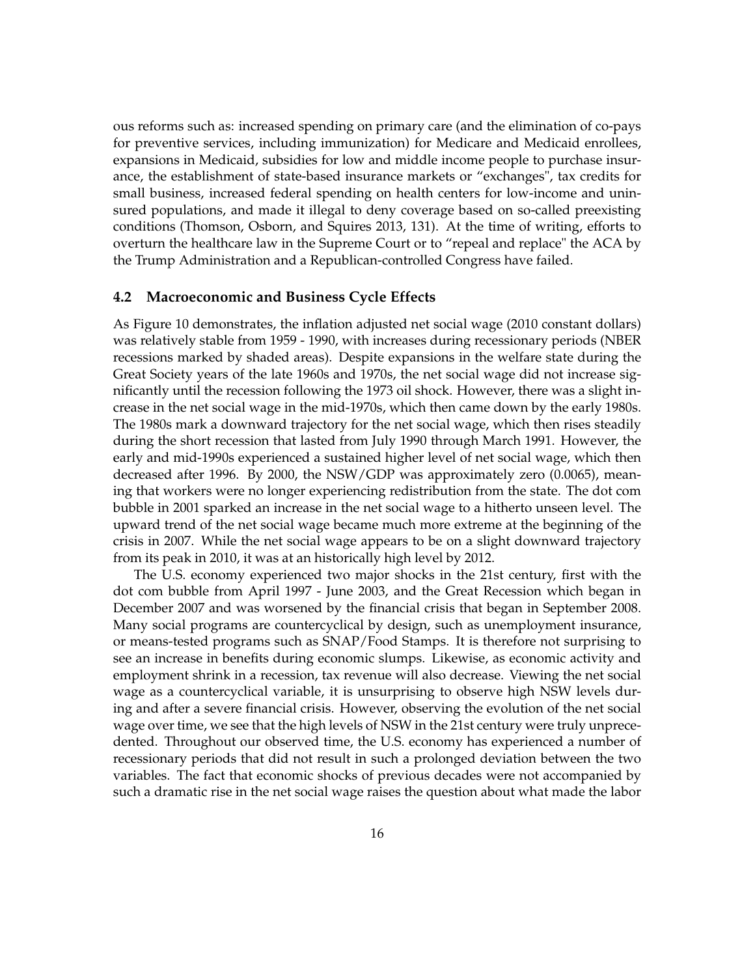ous reforms such as: increased spending on primary care (and the elimination of co-pays for preventive services, including immunization) for Medicare and Medicaid enrollees, expansions in Medicaid, subsidies for low and middle income people to purchase insurance, the establishment of state-based insurance markets or "exchanges", tax credits for small business, increased federal spending on health centers for low-income and uninsured populations, and made it illegal to deny coverage based on so-called preexisting conditions (Thomson, Osborn, and Squires 2013, 131). At the time of writing, efforts to overturn the healthcare law in the Supreme Court or to "repeal and replace" the ACA by the Trump Administration and a Republican-controlled Congress have failed.

#### **4.2 Macroeconomic and Business Cycle Effects**

As Figure 10 demonstrates, the inflation adjusted net social wage (2010 constant dollars) was relatively stable from 1959 - 1990, with increases during recessionary periods (NBER recessions marked by shaded areas). Despite expansions in the welfare state during the Great Society years of the late 1960s and 1970s, the net social wage did not increase significantly until the recession following the 1973 oil shock. However, there was a slight increase in the net social wage in the mid-1970s, which then came down by the early 1980s. The 1980s mark a downward trajectory for the net social wage, which then rises steadily during the short recession that lasted from July 1990 through March 1991. However, the early and mid-1990s experienced a sustained higher level of net social wage, which then decreased after 1996. By 2000, the NSW/GDP was approximately zero (0.0065), meaning that workers were no longer experiencing redistribution from the state. The dot com bubble in 2001 sparked an increase in the net social wage to a hitherto unseen level. The upward trend of the net social wage became much more extreme at the beginning of the crisis in 2007. While the net social wage appears to be on a slight downward trajectory from its peak in 2010, it was at an historically high level by 2012.

The U.S. economy experienced two major shocks in the 21st century, first with the dot com bubble from April 1997 - June 2003, and the Great Recession which began in December 2007 and was worsened by the financial crisis that began in September 2008. Many social programs are countercyclical by design, such as unemployment insurance, or means-tested programs such as SNAP/Food Stamps. It is therefore not surprising to see an increase in benefits during economic slumps. Likewise, as economic activity and employment shrink in a recession, tax revenue will also decrease. Viewing the net social wage as a countercyclical variable, it is unsurprising to observe high NSW levels during and after a severe financial crisis. However, observing the evolution of the net social wage over time, we see that the high levels of NSW in the 21st century were truly unprecedented. Throughout our observed time, the U.S. economy has experienced a number of recessionary periods that did not result in such a prolonged deviation between the two variables. The fact that economic shocks of previous decades were not accompanied by such a dramatic rise in the net social wage raises the question about what made the labor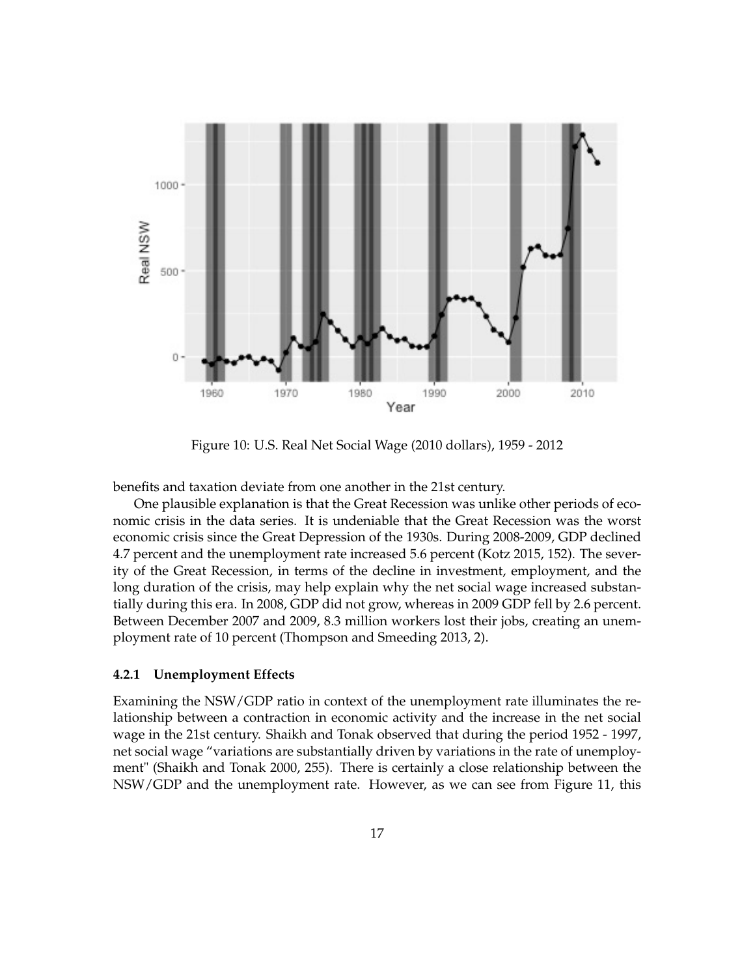

Figure 10: U.S. Real Net Social Wage (2010 dollars), 1959 - 2012

benefits and taxation deviate from one another in the 21st century.

One plausible explanation is that the Great Recession was unlike other periods of economic crisis in the data series. It is undeniable that the Great Recession was the worst economic crisis since the Great Depression of the 1930s. During 2008-2009, GDP declined 4.7 percent and the unemployment rate increased 5.6 percent (Kotz 2015, 152). The severity of the Great Recession, in terms of the decline in investment, employment, and the long duration of the crisis, may help explain why the net social wage increased substantially during this era. In 2008, GDP did not grow, whereas in 2009 GDP fell by 2.6 percent. Between December 2007 and 2009, 8.3 million workers lost their jobs, creating an unemployment rate of 10 percent (Thompson and Smeeding 2013, 2).

#### **4.2.1 Unemployment Effects**

Examining the NSW/GDP ratio in context of the unemployment rate illuminates the relationship between a contraction in economic activity and the increase in the net social wage in the 21st century. Shaikh and Tonak observed that during the period 1952 - 1997, net social wage "variations are substantially driven by variations in the rate of unemployment" (Shaikh and Tonak 2000, 255). There is certainly a close relationship between the NSW/GDP and the unemployment rate. However, as we can see from Figure 11, this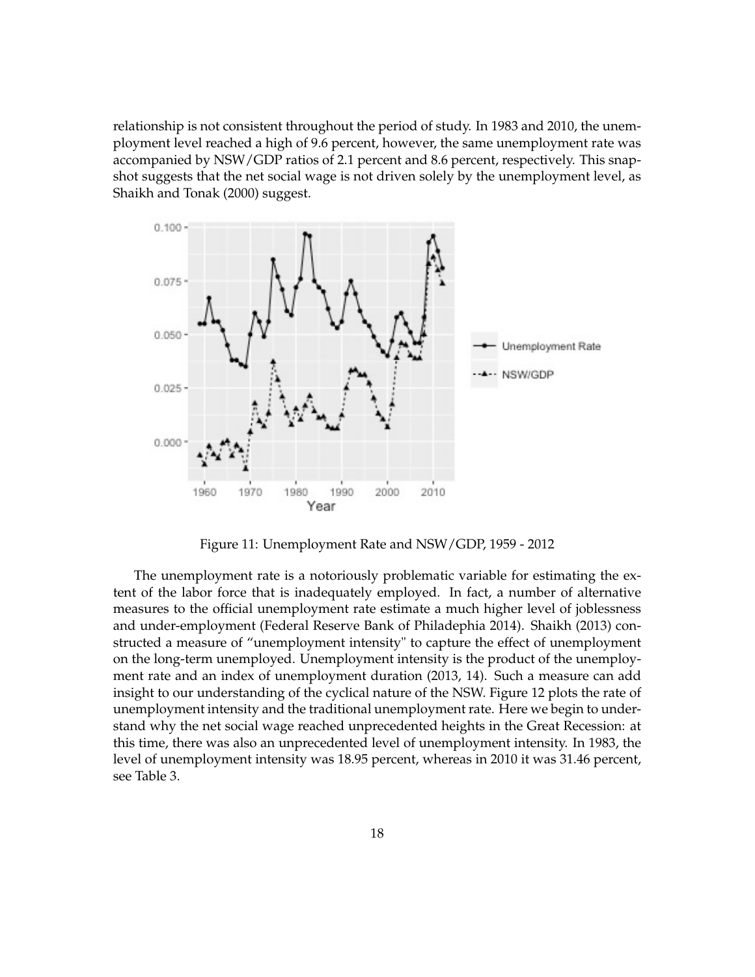relationship is not consistent throughout the period of study. In 1983 and 2010, the unemployment level reached a high of 9.6 percent, however, the same unemployment rate was accompanied by NSW/GDP ratios of 2.1 percent and 8.6 percent, respectively. This snapshot suggests that the net social wage is not driven solely by the unemployment level, as Shaikh and Tonak (2000) suggest.



Figure 11: Unemployment Rate and NSW/GDP, 1959 - 2012

The unemployment rate is a notoriously problematic variable for estimating the extent of the labor force that is inadequately employed. In fact, a number of alternative measures to the official unemployment rate estimate a much higher level of joblessness and under-employment (Federal Reserve Bank of Philadephia 2014). Shaikh (2013) constructed a measure of "unemployment intensity" to capture the effect of unemployment on the long-term unemployed. Unemployment intensity is the product of the unemployment rate and an index of unemployment duration (2013, 14). Such a measure can add insight to our understanding of the cyclical nature of the NSW. Figure 12 plots the rate of unemployment intensity and the traditional unemployment rate. Here we begin to understand why the net social wage reached unprecedented heights in the Great Recession: at this time, there was also an unprecedented level of unemployment intensity. In 1983, the level of unemployment intensity was 18.95 percent, whereas in 2010 it was 31.46 percent, see Table 3.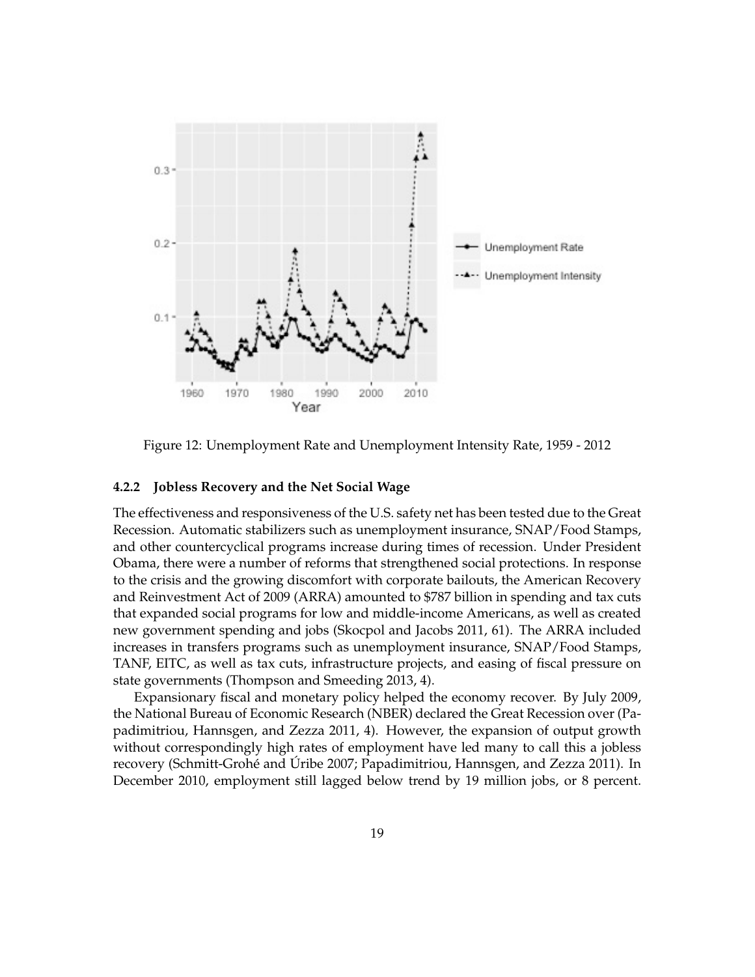

Figure 12: Unemployment Rate and Unemployment Intensity Rate, 1959 - 2012

#### **4.2.2 Jobless Recovery and the Net Social Wage**

The effectiveness and responsiveness of the U.S. safety net has been tested due to the Great Recession. Automatic stabilizers such as unemployment insurance, SNAP/Food Stamps, and other countercyclical programs increase during times of recession. Under President Obama, there were a number of reforms that strengthened social protections. In response to the crisis and the growing discomfort with corporate bailouts, the American Recovery and Reinvestment Act of 2009 (ARRA) amounted to \$787 billion in spending and tax cuts that expanded social programs for low and middle-income Americans, as well as created new government spending and jobs (Skocpol and Jacobs 2011, 61). The ARRA included increases in transfers programs such as unemployment insurance, SNAP/Food Stamps, TANF, EITC, as well as tax cuts, infrastructure projects, and easing of fiscal pressure on state governments (Thompson and Smeeding 2013, 4).

Expansionary fiscal and monetary policy helped the economy recover. By July 2009, the National Bureau of Economic Research (NBER) declared the Great Recession over (Papadimitriou, Hannsgen, and Zezza 2011, 4). However, the expansion of output growth without correspondingly high rates of employment have led many to call this a jobless recovery (Schmitt-Grohé and Úribe 2007; Papadimitriou, Hannsgen, and Zezza 2011). In December 2010, employment still lagged below trend by 19 million jobs, or 8 percent.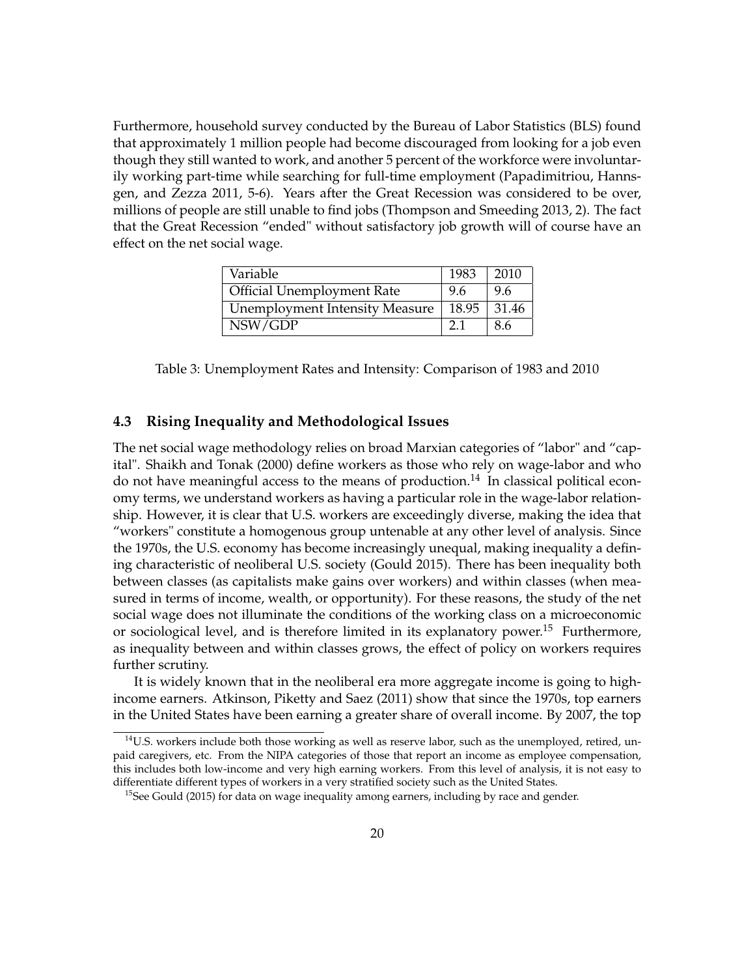Furthermore, household survey conducted by the Bureau of Labor Statistics (BLS) found that approximately 1 million people had become discouraged from looking for a job even though they still wanted to work, and another 5 percent of the workforce were involuntarily working part-time while searching for full-time employment (Papadimitriou, Hannsgen, and Zezza 2011, 5-6). Years after the Great Recession was considered to be over, millions of people are still unable to find jobs (Thompson and Smeeding 2013, 2). The fact that the Great Recession "ended" without satisfactory job growth will of course have an effect on the net social wage.

| Variable                              | 1983  | 2010  |
|---------------------------------------|-------|-------|
| <b>Official Unemployment Rate</b>     | 9.6   | 9.6   |
| <b>Unemployment Intensity Measure</b> | 18.95 | 31.46 |
| NSW/GDP                               | 2.1   | -8.6  |

Table 3: Unemployment Rates and Intensity: Comparison of 1983 and 2010

#### **4.3 Rising Inequality and Methodological Issues**

The net social wage methodology relies on broad Marxian categories of "labor" and "capital". Shaikh and Tonak (2000) define workers as those who rely on wage-labor and who do not have meaningful access to the means of production.<sup>14</sup> In classical political economy terms, we understand workers as having a particular role in the wage-labor relationship. However, it is clear that U.S. workers are exceedingly diverse, making the idea that "workers" constitute a homogenous group untenable at any other level of analysis. Since the 1970s, the U.S. economy has become increasingly unequal, making inequality a defining characteristic of neoliberal U.S. society (Gould 2015). There has been inequality both between classes (as capitalists make gains over workers) and within classes (when measured in terms of income, wealth, or opportunity). For these reasons, the study of the net social wage does not illuminate the conditions of the working class on a microeconomic or sociological level, and is therefore limited in its explanatory power.<sup>15</sup> Furthermore, as inequality between and within classes grows, the effect of policy on workers requires further scrutiny.

It is widely known that in the neoliberal era more aggregate income is going to highincome earners. Atkinson, Piketty and Saez (2011) show that since the 1970s, top earners in the United States have been earning a greater share of overall income. By 2007, the top

<sup>&</sup>lt;sup>14</sup>U.S. workers include both those working as well as reserve labor, such as the unemployed, retired, unpaid caregivers, etc. From the NIPA categories of those that report an income as employee compensation, this includes both low-income and very high earning workers. From this level of analysis, it is not easy to differentiate different types of workers in a very stratified society such as the United States.

<sup>&</sup>lt;sup>15</sup>See Gould (2015) for data on wage inequality among earners, including by race and gender.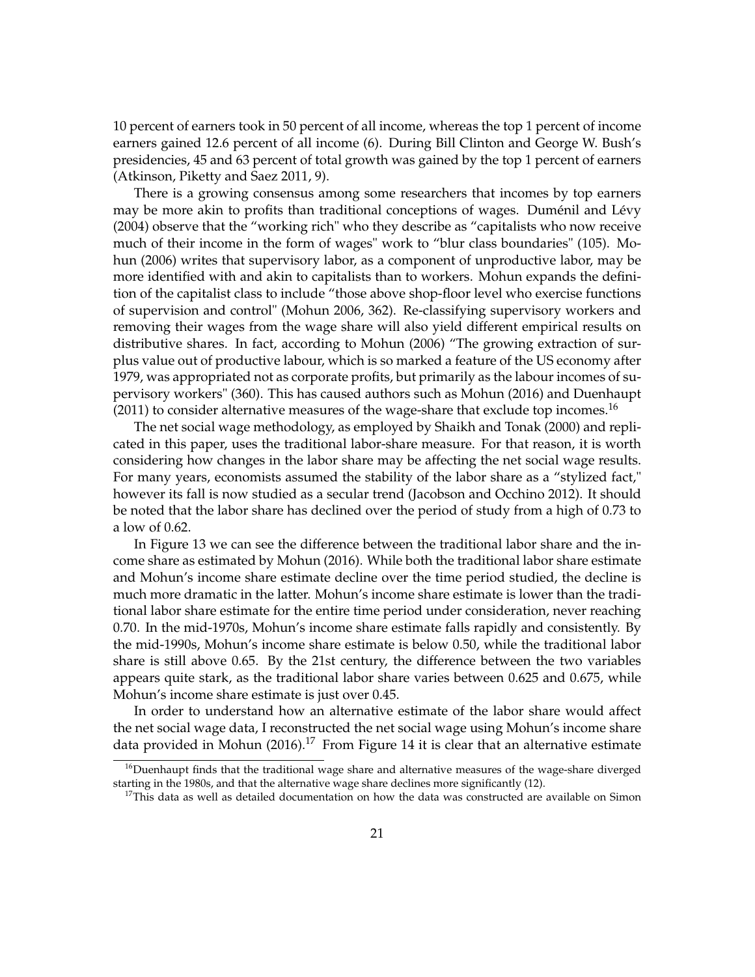10 percent of earners took in 50 percent of all income, whereas the top 1 percent of income earners gained 12.6 percent of all income (6). During Bill Clinton and George W. Bush's presidencies, 45 and 63 percent of total growth was gained by the top 1 percent of earners (Atkinson, Piketty and Saez 2011, 9).

There is a growing consensus among some researchers that incomes by top earners may be more akin to profits than traditional conceptions of wages. Duménil and Lévy (2004) observe that the "working rich" who they describe as "capitalists who now receive much of their income in the form of wages" work to "blur class boundaries" (105). Mohun (2006) writes that supervisory labor, as a component of unproductive labor, may be more identified with and akin to capitalists than to workers. Mohun expands the definition of the capitalist class to include "those above shop-floor level who exercise functions of supervision and control" (Mohun 2006, 362). Re-classifying supervisory workers and removing their wages from the wage share will also yield different empirical results on distributive shares. In fact, according to Mohun (2006) "The growing extraction of surplus value out of productive labour, which is so marked a feature of the US economy after 1979, was appropriated not as corporate profits, but primarily as the labour incomes of supervisory workers" (360). This has caused authors such as Mohun (2016) and Duenhaupt  $(2011)$  to consider alternative measures of the wage-share that exclude top incomes.<sup>16</sup>

The net social wage methodology, as employed by Shaikh and Tonak (2000) and replicated in this paper, uses the traditional labor-share measure. For that reason, it is worth considering how changes in the labor share may be affecting the net social wage results. For many years, economists assumed the stability of the labor share as a "stylized fact," however its fall is now studied as a secular trend (Jacobson and Occhino 2012). It should be noted that the labor share has declined over the period of study from a high of 0.73 to a low of 0.62.

In Figure 13 we can see the difference between the traditional labor share and the income share as estimated by Mohun (2016). While both the traditional labor share estimate and Mohun's income share estimate decline over the time period studied, the decline is much more dramatic in the latter. Mohun's income share estimate is lower than the traditional labor share estimate for the entire time period under consideration, never reaching 0.70. In the mid-1970s, Mohun's income share estimate falls rapidly and consistently. By the mid-1990s, Mohun's income share estimate is below 0.50, while the traditional labor share is still above 0.65. By the 21st century, the difference between the two variables appears quite stark, as the traditional labor share varies between 0.625 and 0.675, while Mohun's income share estimate is just over 0.45.

In order to understand how an alternative estimate of the labor share would affect the net social wage data, I reconstructed the net social wage using Mohun's income share data provided in Mohun (2016).<sup>17</sup> From Figure 14 it is clear that an alternative estimate

 $16$ Duenhaupt finds that the traditional wage share and alternative measures of the wage-share diverged starting in the 1980s, and that the alternative wage share declines more significantly (12).

 $17$ This data as well as detailed documentation on how the data was constructed are available on Simon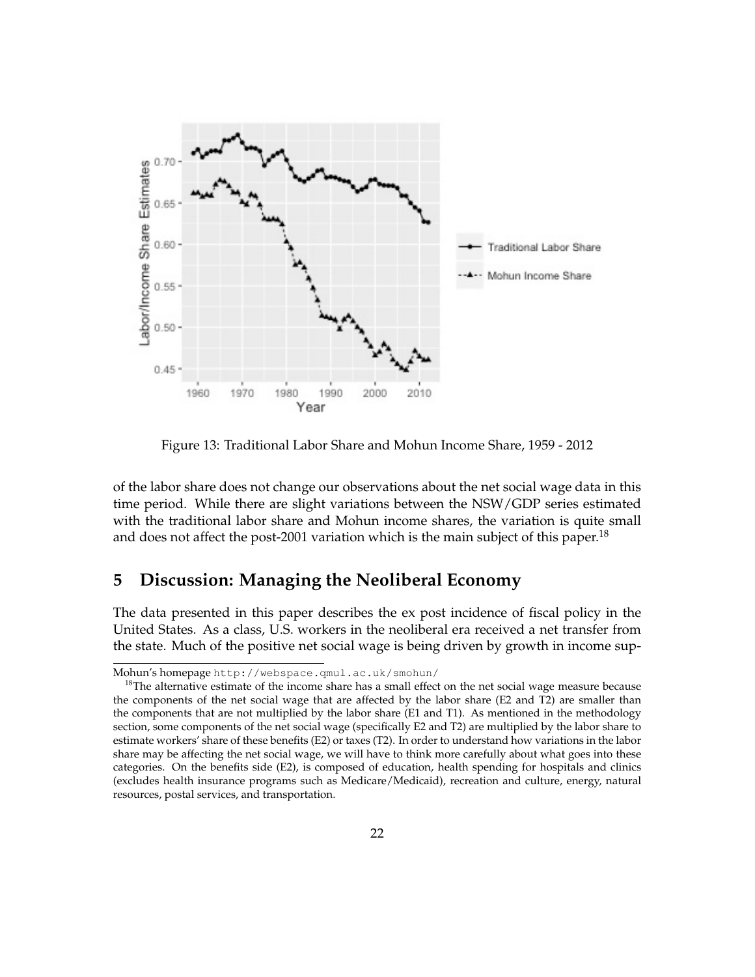

Figure 13: Traditional Labor Share and Mohun Income Share, 1959 - 2012

of the labor share does not change our observations about the net social wage data in this time period. While there are slight variations between the NSW/GDP series estimated with the traditional labor share and Mohun income shares, the variation is quite small and does not affect the post-2001 variation which is the main subject of this paper.<sup>18</sup>

# **5 Discussion: Managing the Neoliberal Economy**

The data presented in this paper describes the ex post incidence of fiscal policy in the United States. As a class, U.S. workers in the neoliberal era received a net transfer from the state. Much of the positive net social wage is being driven by growth in income sup-

Mohun's homepage http://webspace.qmul.ac.uk/smohun/

<sup>&</sup>lt;sup>18</sup>The alternative estimate of the income share has a small effect on the net social wage measure because the components of the net social wage that are affected by the labor share (E2 and T2) are smaller than the components that are not multiplied by the labor share (E1 and T1). As mentioned in the methodology section, some components of the net social wage (specifically E2 and T2) are multiplied by the labor share to estimate workers' share of these benefits (E2) or taxes (T2). In order to understand how variations in the labor share may be affecting the net social wage, we will have to think more carefully about what goes into these categories. On the benefits side (E2), is composed of education, health spending for hospitals and clinics (excludes health insurance programs such as Medicare/Medicaid), recreation and culture, energy, natural resources, postal services, and transportation.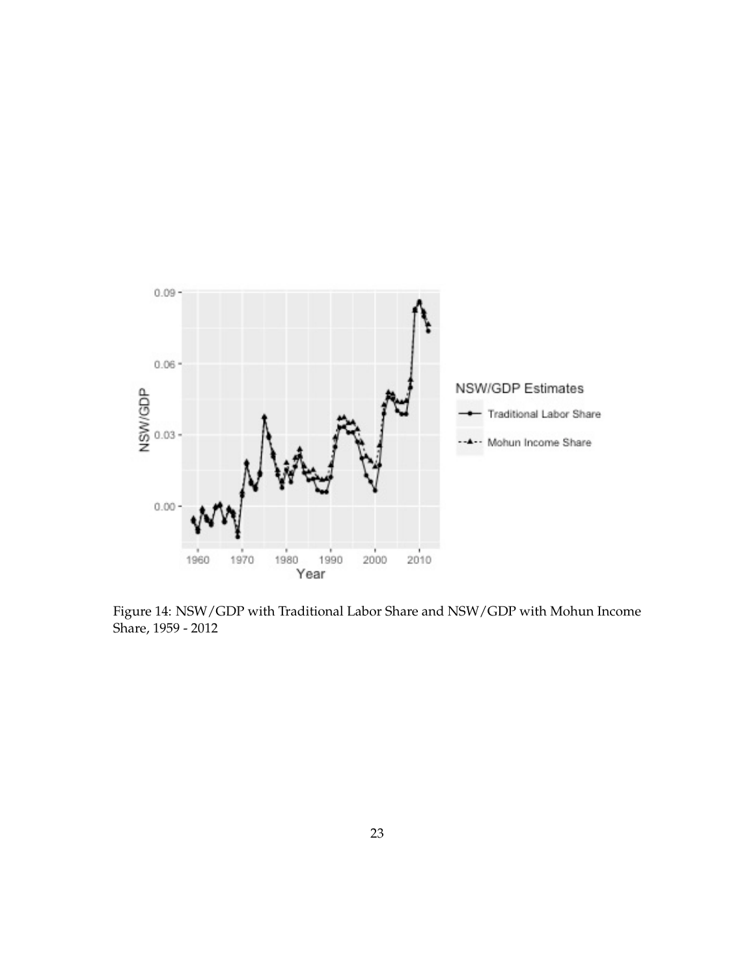

Figure 14: NSW/GDP with Traditional Labor Share and NSW/GDP with Mohun Income Share, 1959 - 2012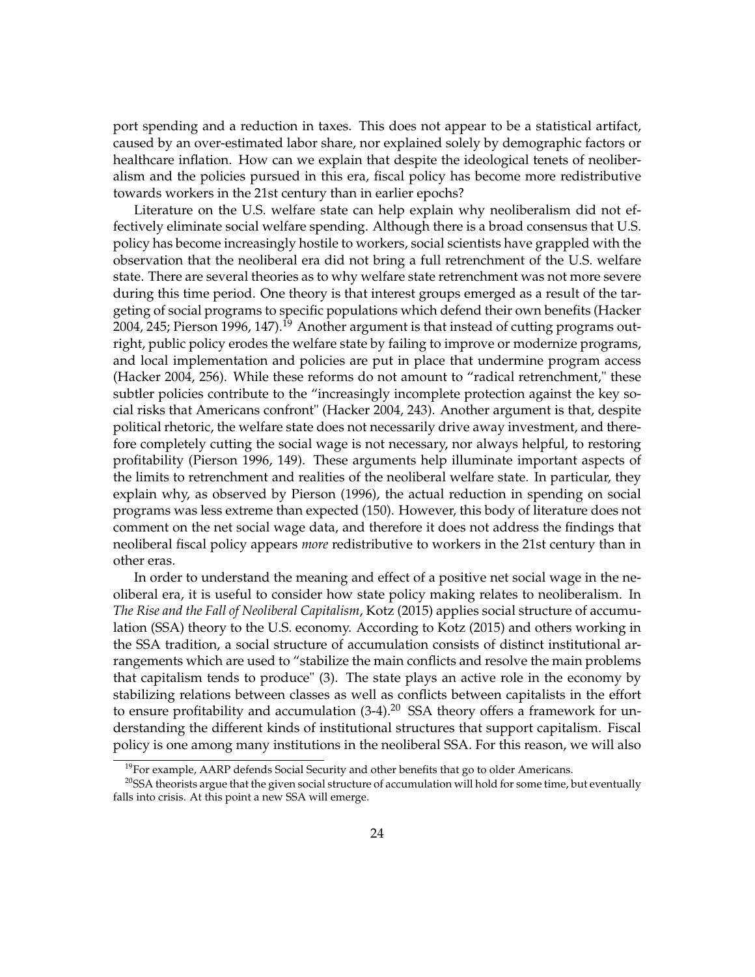port spending and a reduction in taxes. This does not appear to be a statistical artifact, caused by an over-estimated labor share, nor explained solely by demographic factors or healthcare inflation. How can we explain that despite the ideological tenets of neoliberalism and the policies pursued in this era, fiscal policy has become more redistributive towards workers in the 21st century than in earlier epochs?

Literature on the U.S. welfare state can help explain why neoliberalism did not effectively eliminate social welfare spending. Although there is a broad consensus that U.S. policy has become increasingly hostile to workers, social scientists have grappled with the observation that the neoliberal era did not bring a full retrenchment of the U.S. welfare state. There are several theories as to why welfare state retrenchment was not more severe during this time period. One theory is that interest groups emerged as a result of the targeting of social programs to specific populations which defend their own benefits (Hacker 2004, 245; Pierson 1996, 147).<sup>19</sup> Another argument is that instead of cutting programs outright, public policy erodes the welfare state by failing to improve or modernize programs, and local implementation and policies are put in place that undermine program access (Hacker 2004, 256). While these reforms do not amount to "radical retrenchment," these subtler policies contribute to the "increasingly incomplete protection against the key social risks that Americans confront" (Hacker 2004, 243). Another argument is that, despite political rhetoric, the welfare state does not necessarily drive away investment, and therefore completely cutting the social wage is not necessary, nor always helpful, to restoring profitability (Pierson 1996, 149). These arguments help illuminate important aspects of the limits to retrenchment and realities of the neoliberal welfare state. In particular, they explain why, as observed by Pierson (1996), the actual reduction in spending on social programs was less extreme than expected (150). However, this body of literature does not comment on the net social wage data, and therefore it does not address the findings that neoliberal fiscal policy appears *more* redistributive to workers in the 21st century than in other eras.

In order to understand the meaning and effect of a positive net social wage in the neoliberal era, it is useful to consider how state policy making relates to neoliberalism. In *The Rise and the Fall of Neoliberal Capitalism*, Kotz (2015) applies social structure of accumulation (SSA) theory to the U.S. economy. According to Kotz (2015) and others working in the SSA tradition, a social structure of accumulation consists of distinct institutional arrangements which are used to "stabilize the main conflicts and resolve the main problems that capitalism tends to produce" (3). The state plays an active role in the economy by stabilizing relations between classes as well as conflicts between capitalists in the effort to ensure profitability and accumulation  $(3-4)$ .<sup>20</sup> SSA theory offers a framework for understanding the different kinds of institutional structures that support capitalism. Fiscal policy is one among many institutions in the neoliberal SSA. For this reason, we will also

 $<sup>19</sup>$  For example, AARP defends Social Security and other benefits that go to older Americans.</sup>

 $20$ SSA theorists argue that the given social structure of accumulation will hold for some time, but eventually falls into crisis. At this point a new SSA will emerge.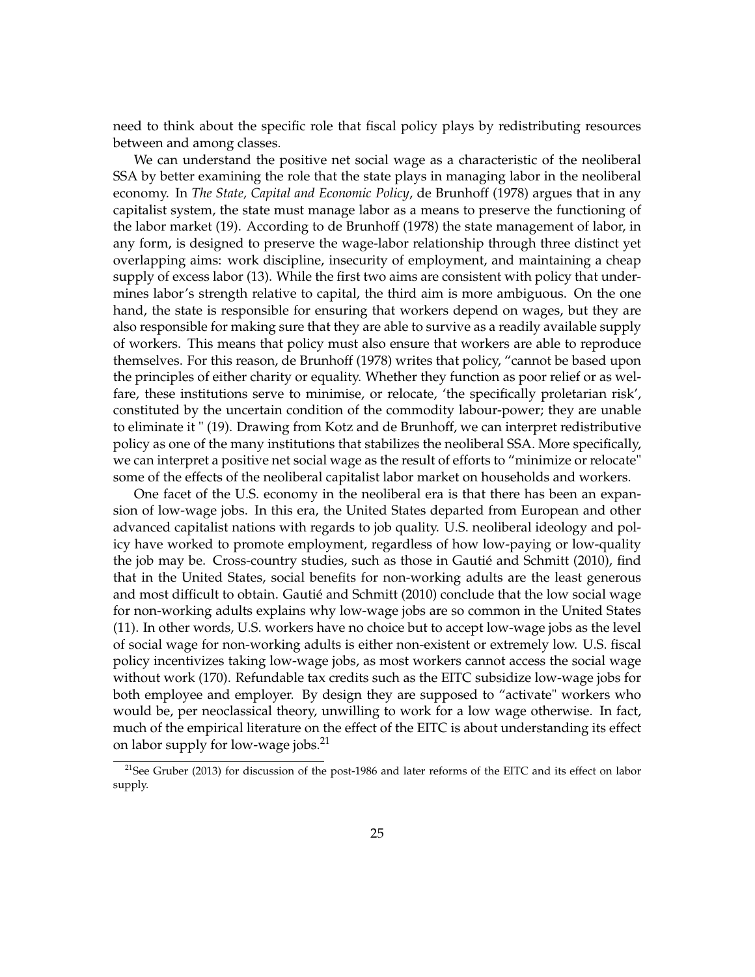need to think about the specific role that fiscal policy plays by redistributing resources between and among classes.

We can understand the positive net social wage as a characteristic of the neoliberal SSA by better examining the role that the state plays in managing labor in the neoliberal economy. In *The State, Capital and Economic Policy*, de Brunhoff (1978) argues that in any capitalist system, the state must manage labor as a means to preserve the functioning of the labor market (19). According to de Brunhoff (1978) the state management of labor, in any form, is designed to preserve the wage-labor relationship through three distinct yet overlapping aims: work discipline, insecurity of employment, and maintaining a cheap supply of excess labor (13). While the first two aims are consistent with policy that undermines labor's strength relative to capital, the third aim is more ambiguous. On the one hand, the state is responsible for ensuring that workers depend on wages, but they are also responsible for making sure that they are able to survive as a readily available supply of workers. This means that policy must also ensure that workers are able to reproduce themselves. For this reason, de Brunhoff (1978) writes that policy, "cannot be based upon the principles of either charity or equality. Whether they function as poor relief or as welfare, these institutions serve to minimise, or relocate, 'the specifically proletarian risk', constituted by the uncertain condition of the commodity labour-power; they are unable to eliminate it " (19). Drawing from Kotz and de Brunhoff, we can interpret redistributive policy as one of the many institutions that stabilizes the neoliberal SSA. More specifically, we can interpret a positive net social wage as the result of efforts to "minimize or relocate" some of the effects of the neoliberal capitalist labor market on households and workers.

One facet of the U.S. economy in the neoliberal era is that there has been an expansion of low-wage jobs. In this era, the United States departed from European and other advanced capitalist nations with regards to job quality. U.S. neoliberal ideology and policy have worked to promote employment, regardless of how low-paying or low-quality the job may be. Cross-country studies, such as those in Gautié and Schmitt (2010), find that in the United States, social benefits for non-working adults are the least generous and most difficult to obtain. Gautié and Schmitt (2010) conclude that the low social wage for non-working adults explains why low-wage jobs are so common in the United States (11). In other words, U.S. workers have no choice but to accept low-wage jobs as the level of social wage for non-working adults is either non-existent or extremely low. U.S. fiscal policy incentivizes taking low-wage jobs, as most workers cannot access the social wage without work (170). Refundable tax credits such as the EITC subsidize low-wage jobs for both employee and employer. By design they are supposed to "activate" workers who would be, per neoclassical theory, unwilling to work for a low wage otherwise. In fact, much of the empirical literature on the effect of the EITC is about understanding its effect on labor supply for low-wage jobs.<sup>21</sup>

<sup>&</sup>lt;sup>21</sup>See Gruber (2013) for discussion of the post-1986 and later reforms of the EITC and its effect on labor supply.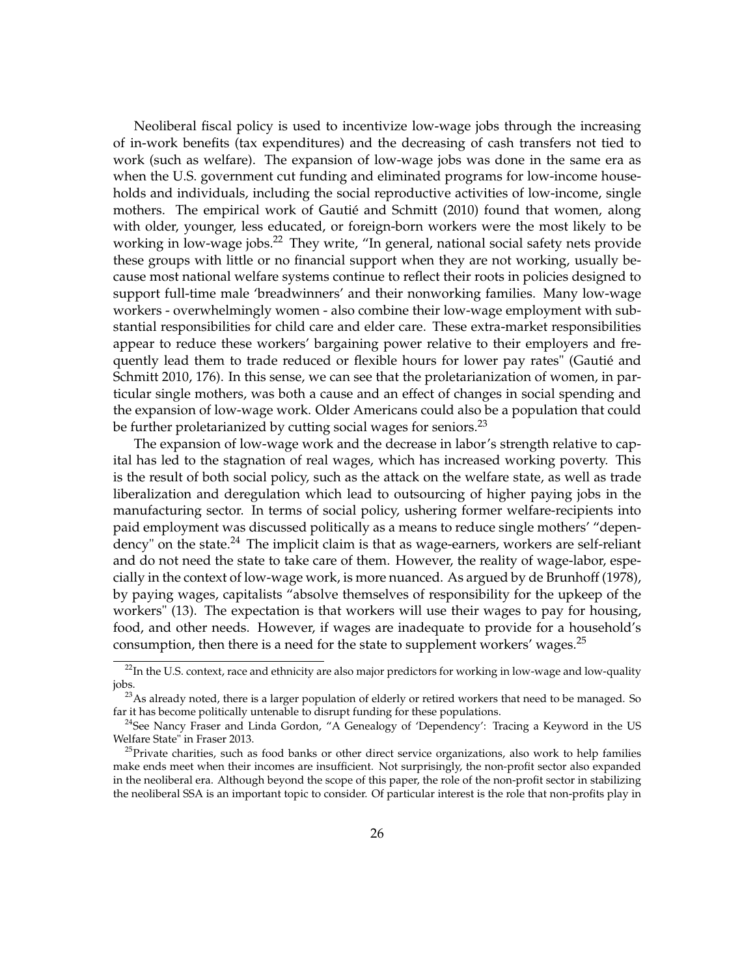Neoliberal fiscal policy is used to incentivize low-wage jobs through the increasing of in-work benefits (tax expenditures) and the decreasing of cash transfers not tied to work (such as welfare). The expansion of low-wage jobs was done in the same era as when the U.S. government cut funding and eliminated programs for low-income households and individuals, including the social reproductive activities of low-income, single mothers. The empirical work of Gautié and Schmitt (2010) found that women, along with older, younger, less educated, or foreign-born workers were the most likely to be working in low-wage jobs.<sup>22</sup> They write, "In general, national social safety nets provide these groups with little or no financial support when they are not working, usually because most national welfare systems continue to reflect their roots in policies designed to support full-time male 'breadwinners' and their nonworking families. Many low-wage workers - overwhelmingly women - also combine their low-wage employment with substantial responsibilities for child care and elder care. These extra-market responsibilities appear to reduce these workers' bargaining power relative to their employers and frequently lead them to trade reduced or flexible hours for lower pay rates" (Gautié and Schmitt 2010, 176). In this sense, we can see that the proletarianization of women, in particular single mothers, was both a cause and an effect of changes in social spending and the expansion of low-wage work. Older Americans could also be a population that could be further proletarianized by cutting social wages for seniors.<sup>23</sup>

The expansion of low-wage work and the decrease in labor's strength relative to capital has led to the stagnation of real wages, which has increased working poverty. This is the result of both social policy, such as the attack on the welfare state, as well as trade liberalization and deregulation which lead to outsourcing of higher paying jobs in the manufacturing sector. In terms of social policy, ushering former welfare-recipients into paid employment was discussed politically as a means to reduce single mothers' "dependency" on the state.<sup>24</sup> The implicit claim is that as wage-earners, workers are self-reliant and do not need the state to take care of them. However, the reality of wage-labor, especially in the context of low-wage work, is more nuanced. As argued by de Brunhoff (1978), by paying wages, capitalists "absolve themselves of responsibility for the upkeep of the workers" (13). The expectation is that workers will use their wages to pay for housing, food, and other needs. However, if wages are inadequate to provide for a household's consumption, then there is a need for the state to supplement workers' wages.<sup>25</sup>

<sup>&</sup>lt;sup>22</sup>In the U.S. context, race and ethnicity are also major predictors for working in low-wage and low-quality jobs.

 $23$ As already noted, there is a larger population of elderly or retired workers that need to be managed. So far it has become politically untenable to disrupt funding for these populations.

 $24$ See Nancy Fraser and Linda Gordon, "A Genealogy of 'Dependency': Tracing a Keyword in the US Welfare State" in Fraser 2013.

<sup>&</sup>lt;sup>25</sup>Private charities, such as food banks or other direct service organizations, also work to help families make ends meet when their incomes are insufficient. Not surprisingly, the non-profit sector also expanded in the neoliberal era. Although beyond the scope of this paper, the role of the non-profit sector in stabilizing the neoliberal SSA is an important topic to consider. Of particular interest is the role that non-profits play in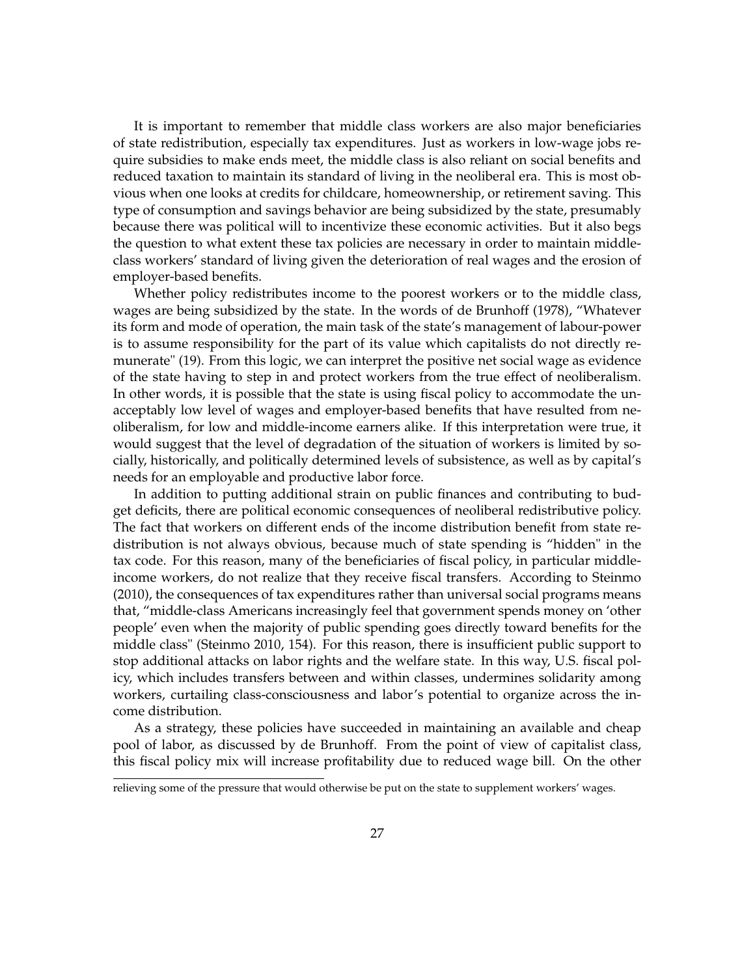It is important to remember that middle class workers are also major beneficiaries of state redistribution, especially tax expenditures. Just as workers in low-wage jobs require subsidies to make ends meet, the middle class is also reliant on social benefits and reduced taxation to maintain its standard of living in the neoliberal era. This is most obvious when one looks at credits for childcare, homeownership, or retirement saving. This type of consumption and savings behavior are being subsidized by the state, presumably because there was political will to incentivize these economic activities. But it also begs the question to what extent these tax policies are necessary in order to maintain middleclass workers' standard of living given the deterioration of real wages and the erosion of employer-based benefits.

Whether policy redistributes income to the poorest workers or to the middle class, wages are being subsidized by the state. In the words of de Brunhoff (1978), "Whatever its form and mode of operation, the main task of the state's management of labour-power is to assume responsibility for the part of its value which capitalists do not directly remunerate" (19). From this logic, we can interpret the positive net social wage as evidence of the state having to step in and protect workers from the true effect of neoliberalism. In other words, it is possible that the state is using fiscal policy to accommodate the unacceptably low level of wages and employer-based benefits that have resulted from neoliberalism, for low and middle-income earners alike. If this interpretation were true, it would suggest that the level of degradation of the situation of workers is limited by socially, historically, and politically determined levels of subsistence, as well as by capital's needs for an employable and productive labor force.

In addition to putting additional strain on public finances and contributing to budget deficits, there are political economic consequences of neoliberal redistributive policy. The fact that workers on different ends of the income distribution benefit from state redistribution is not always obvious, because much of state spending is "hidden" in the tax code. For this reason, many of the beneficiaries of fiscal policy, in particular middleincome workers, do not realize that they receive fiscal transfers. According to Steinmo (2010), the consequences of tax expenditures rather than universal social programs means that, "middle-class Americans increasingly feel that government spends money on 'other people' even when the majority of public spending goes directly toward benefits for the middle class" (Steinmo 2010, 154). For this reason, there is insufficient public support to stop additional attacks on labor rights and the welfare state. In this way, U.S. fiscal policy, which includes transfers between and within classes, undermines solidarity among workers, curtailing class-consciousness and labor's potential to organize across the income distribution.

As a strategy, these policies have succeeded in maintaining an available and cheap pool of labor, as discussed by de Brunhoff. From the point of view of capitalist class, this fiscal policy mix will increase profitability due to reduced wage bill. On the other

relieving some of the pressure that would otherwise be put on the state to supplement workers' wages.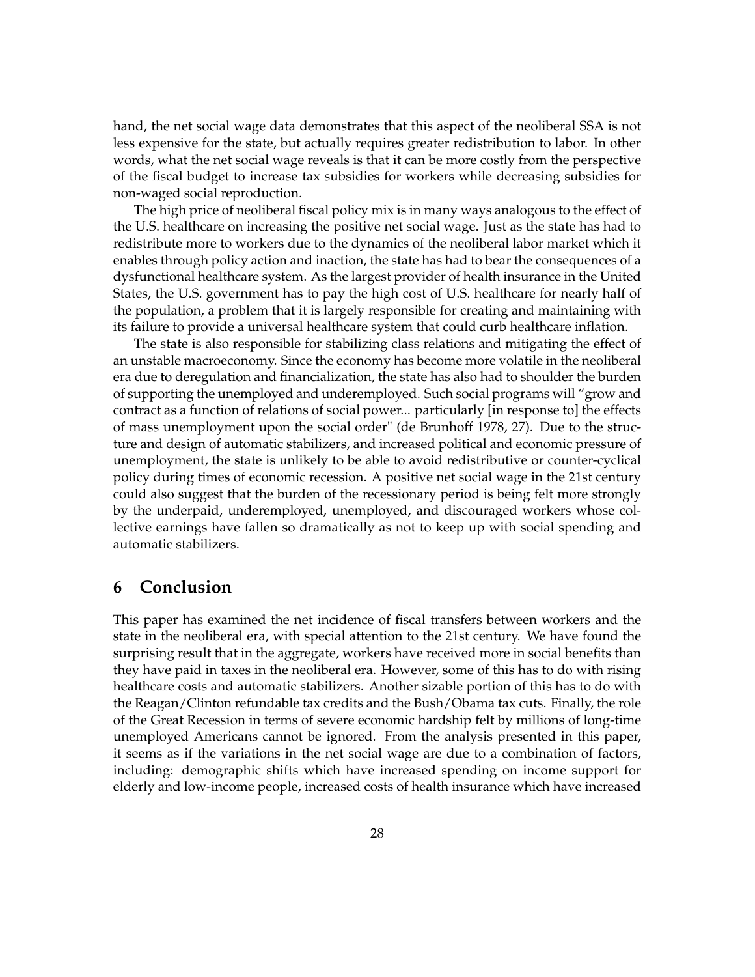hand, the net social wage data demonstrates that this aspect of the neoliberal SSA is not less expensive for the state, but actually requires greater redistribution to labor. In other words, what the net social wage reveals is that it can be more costly from the perspective of the fiscal budget to increase tax subsidies for workers while decreasing subsidies for non-waged social reproduction.

The high price of neoliberal fiscal policy mix is in many ways analogous to the effect of the U.S. healthcare on increasing the positive net social wage. Just as the state has had to redistribute more to workers due to the dynamics of the neoliberal labor market which it enables through policy action and inaction, the state has had to bear the consequences of a dysfunctional healthcare system. As the largest provider of health insurance in the United States, the U.S. government has to pay the high cost of U.S. healthcare for nearly half of the population, a problem that it is largely responsible for creating and maintaining with its failure to provide a universal healthcare system that could curb healthcare inflation.

The state is also responsible for stabilizing class relations and mitigating the effect of an unstable macroeconomy. Since the economy has become more volatile in the neoliberal era due to deregulation and financialization, the state has also had to shoulder the burden of supporting the unemployed and underemployed. Such social programs will "grow and contract as a function of relations of social power... particularly [in response to] the effects of mass unemployment upon the social order" (de Brunhoff 1978, 27). Due to the structure and design of automatic stabilizers, and increased political and economic pressure of unemployment, the state is unlikely to be able to avoid redistributive or counter-cyclical policy during times of economic recession. A positive net social wage in the 21st century could also suggest that the burden of the recessionary period is being felt more strongly by the underpaid, underemployed, unemployed, and discouraged workers whose collective earnings have fallen so dramatically as not to keep up with social spending and automatic stabilizers.

### **6 Conclusion**

This paper has examined the net incidence of fiscal transfers between workers and the state in the neoliberal era, with special attention to the 21st century. We have found the surprising result that in the aggregate, workers have received more in social benefits than they have paid in taxes in the neoliberal era. However, some of this has to do with rising healthcare costs and automatic stabilizers. Another sizable portion of this has to do with the Reagan/Clinton refundable tax credits and the Bush/Obama tax cuts. Finally, the role of the Great Recession in terms of severe economic hardship felt by millions of long-time unemployed Americans cannot be ignored. From the analysis presented in this paper, it seems as if the variations in the net social wage are due to a combination of factors, including: demographic shifts which have increased spending on income support for elderly and low-income people, increased costs of health insurance which have increased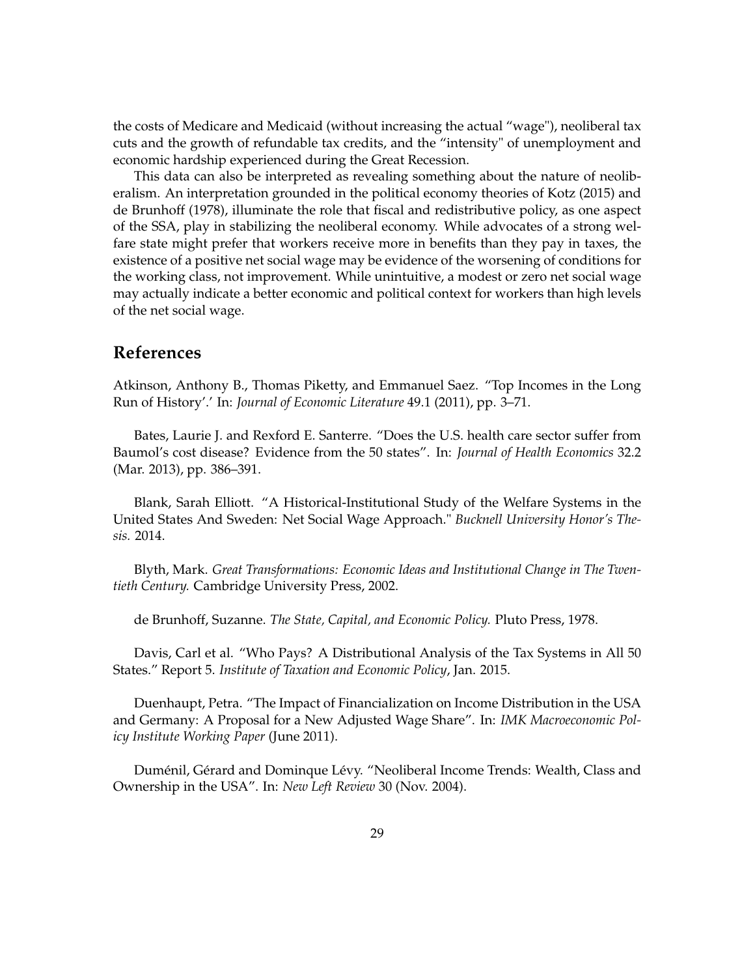the costs of Medicare and Medicaid (without increasing the actual "wage"), neoliberal tax cuts and the growth of refundable tax credits, and the "intensity" of unemployment and economic hardship experienced during the Great Recession.

This data can also be interpreted as revealing something about the nature of neoliberalism. An interpretation grounded in the political economy theories of Kotz (2015) and de Brunhoff (1978), illuminate the role that fiscal and redistributive policy, as one aspect of the SSA, play in stabilizing the neoliberal economy. While advocates of a strong welfare state might prefer that workers receive more in benefits than they pay in taxes, the existence of a positive net social wage may be evidence of the worsening of conditions for the working class, not improvement. While unintuitive, a modest or zero net social wage may actually indicate a better economic and political context for workers than high levels of the net social wage.

### **References**

Atkinson, Anthony B., Thomas Piketty, and Emmanuel Saez. "Top Incomes in the Long Run of History'.' In: *Journal of Economic Literature* 49.1 (2011), pp. 3–71.

Bates, Laurie J. and Rexford E. Santerre. "Does the U.S. health care sector suffer from Baumol's cost disease? Evidence from the 50 states". In: *Journal of Health Economics* 32.2 (Mar. 2013), pp. 386–391.

Blank, Sarah Elliott. "A Historical-Institutional Study of the Welfare Systems in the United States And Sweden: Net Social Wage Approach." *Bucknell University Honor's Thesis.* 2014.

Blyth, Mark. *Great Transformations: Economic Ideas and Institutional Change in The Twentieth Century.* Cambridge University Press, 2002.

de Brunhoff, Suzanne. *The State, Capital, and Economic Policy.* Pluto Press, 1978.

Davis, Carl et al. "Who Pays? A Distributional Analysis of the Tax Systems in All 50 States." Report 5. *Institute of Taxation and Economic Policy*, Jan. 2015.

Duenhaupt, Petra. "The Impact of Financialization on Income Distribution in the USA and Germany: A Proposal for a New Adjusted Wage Share". In: *IMK Macroeconomic Policy Institute Working Paper* (June 2011).

Duménil, Gérard and Dominque Lévy. "Neoliberal Income Trends: Wealth, Class and Ownership in the USA". In: *New Left Review* 30 (Nov. 2004).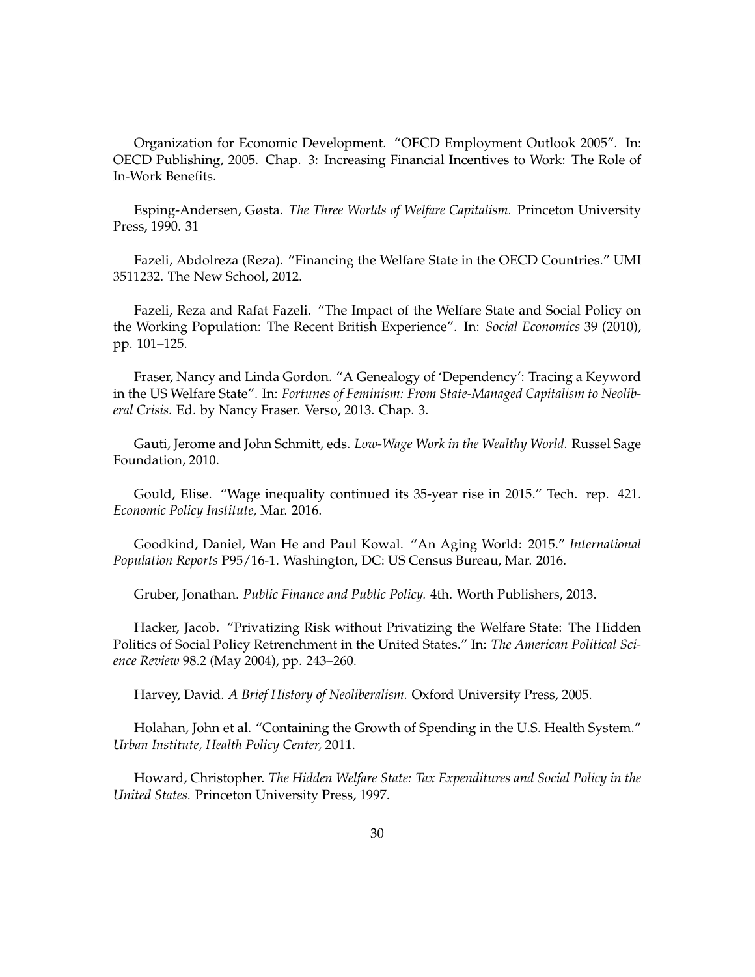Organization for Economic Development. "OECD Employment Outlook 2005". In: OECD Publishing, 2005. Chap. 3: Increasing Financial Incentives to Work: The Role of In-Work Benefits.

Esping-Andersen, Gøsta. *The Three Worlds of Welfare Capitalism.* Princeton University Press, 1990. 31

Fazeli, Abdolreza (Reza). "Financing the Welfare State in the OECD Countries." UMI 3511232. The New School, 2012.

Fazeli, Reza and Rafat Fazeli. "The Impact of the Welfare State and Social Policy on the Working Population: The Recent British Experience". In: *Social Economics* 39 (2010), pp. 101–125.

Fraser, Nancy and Linda Gordon. "A Genealogy of 'Dependency': Tracing a Keyword in the US Welfare State". In: *Fortunes of Feminism: From State-Managed Capitalism to Neoliberal Crisis.* Ed. by Nancy Fraser. Verso, 2013. Chap. 3.

Gauti, Jerome and John Schmitt, eds. *Low-Wage Work in the Wealthy World.* Russel Sage Foundation, 2010.

Gould, Elise. "Wage inequality continued its 35-year rise in 2015." Tech. rep. 421. *Economic Policy Institute,* Mar. 2016.

Goodkind, Daniel, Wan He and Paul Kowal. "An Aging World: 2015." *International Population Reports* P95/16-1. Washington, DC: US Census Bureau, Mar. 2016.

Gruber, Jonathan. *Public Finance and Public Policy.* 4th. Worth Publishers, 2013.

Hacker, Jacob. "Privatizing Risk without Privatizing the Welfare State: The Hidden Politics of Social Policy Retrenchment in the United States." In: *The American Political Science Review* 98.2 (May 2004), pp. 243–260.

Harvey, David. *A Brief History of Neoliberalism.* Oxford University Press, 2005.

Holahan, John et al. "Containing the Growth of Spending in the U.S. Health System." *Urban Institute, Health Policy Center,* 2011.

Howard, Christopher. *The Hidden Welfare State: Tax Expenditures and Social Policy in the United States.* Princeton University Press, 1997.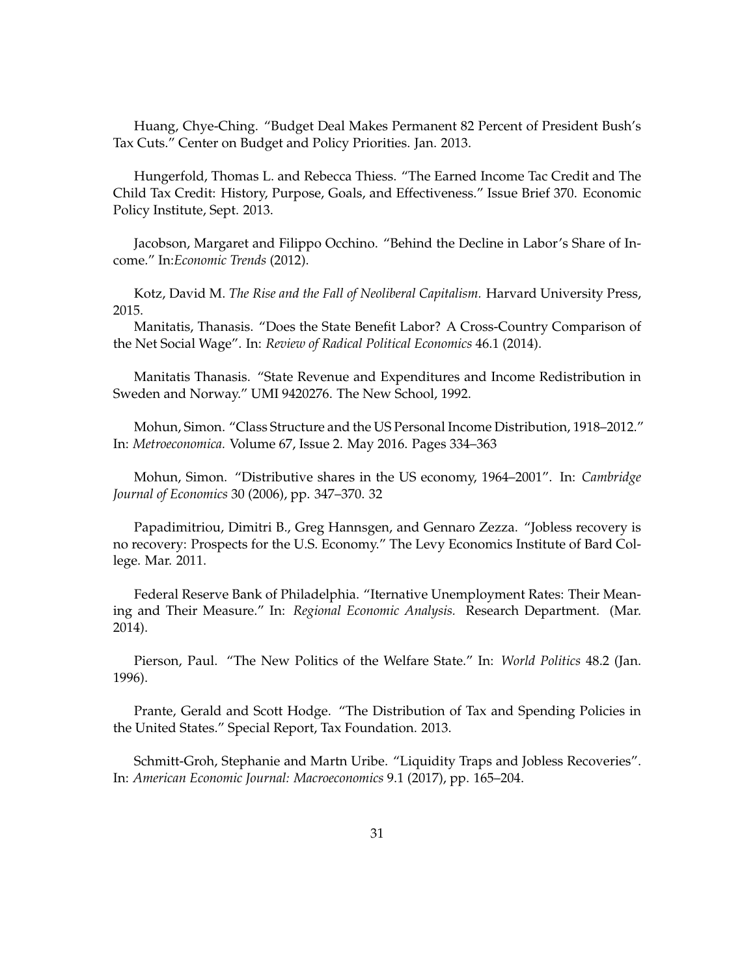Huang, Chye-Ching. "Budget Deal Makes Permanent 82 Percent of President Bush's Tax Cuts." Center on Budget and Policy Priorities. Jan. 2013.

Hungerfold, Thomas L. and Rebecca Thiess. "The Earned Income Tac Credit and The Child Tax Credit: History, Purpose, Goals, and Effectiveness." Issue Brief 370. Economic Policy Institute, Sept. 2013.

Jacobson, Margaret and Filippo Occhino. "Behind the Decline in Labor's Share of Income." In:*Economic Trends* (2012).

Kotz, David M. *The Rise and the Fall of Neoliberal Capitalism.* Harvard University Press, 2015.

Manitatis, Thanasis. "Does the State Benefit Labor? A Cross-Country Comparison of the Net Social Wage". In: *Review of Radical Political Economics* 46.1 (2014).

Manitatis Thanasis. "State Revenue and Expenditures and Income Redistribution in Sweden and Norway." UMI 9420276. The New School, 1992.

Mohun, Simon. "Class Structure and the US Personal Income Distribution, 1918–2012." In: *Metroeconomica.* Volume 67, Issue 2. May 2016. Pages 334–363

Mohun, Simon. "Distributive shares in the US economy, 1964–2001". In: *Cambridge Journal of Economics* 30 (2006), pp. 347–370. 32

Papadimitriou, Dimitri B., Greg Hannsgen, and Gennaro Zezza. "Jobless recovery is no recovery: Prospects for the U.S. Economy." The Levy Economics Institute of Bard College. Mar. 2011.

Federal Reserve Bank of Philadelphia. "Iternative Unemployment Rates: Their Meaning and Their Measure." In: *Regional Economic Analysis.* Research Department. (Mar. 2014).

Pierson, Paul. "The New Politics of the Welfare State." In: *World Politics* 48.2 (Jan. 1996).

Prante, Gerald and Scott Hodge. "The Distribution of Tax and Spending Policies in the United States." Special Report, Tax Foundation. 2013.

Schmitt-Groh, Stephanie and Martn Uribe. "Liquidity Traps and Jobless Recoveries". In: *American Economic Journal: Macroeconomics* 9.1 (2017), pp. 165–204.